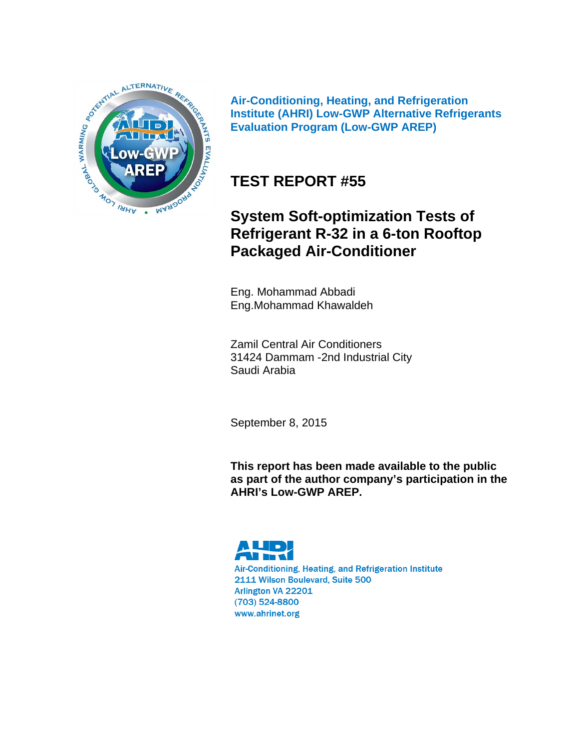

**Air-Conditioning, Heating, and Refrigeration Institute (AHRI) Low-GWP Alternative Refrigerants Evaluation Program (Low-GWP AREP)** 

# **TEST REPORT #55**

# **System Soft-optimization Tests of Refrigerant R-32 in a 6-ton Rooftop Packaged Air-Conditioner**

Eng. Mohammad Abbadi Eng.Mohammad Khawaldeh

Zamil Central Air Conditioners 31424 Dammam -2nd Industrial City Saudi Arabia

September 8, 2015

**This report has been made available to the public as part of the author company's participation in the AHRI's Low-GWP AREP.** 

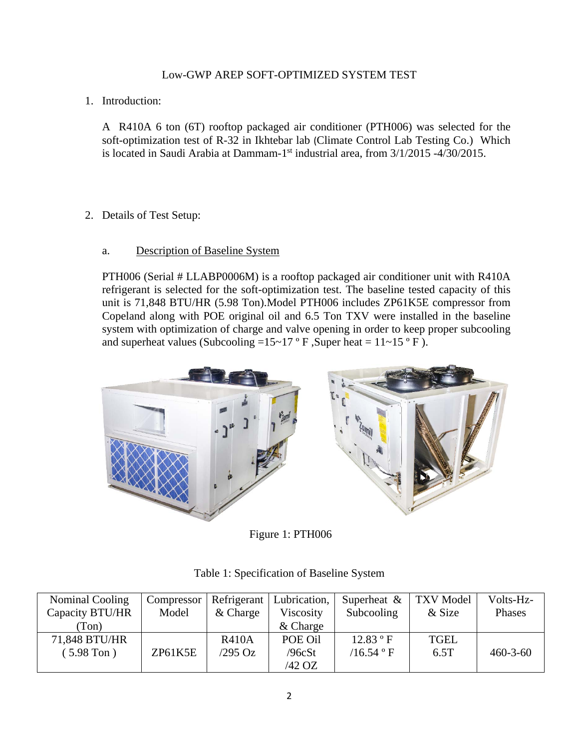1. Introduction:

A R410A 6 ton (6T) rooftop packaged air conditioner (PTH006) was selected for the soft-optimization test of R-32 in Ikhtebar lab (Climate Control Lab Testing Co.) Which is located in Saudi Arabia at Dammam-1st industrial area, from 3/1/2015 -4/30/2015.

2. Details of Test Setup:

### a. Description of Baseline System

PTH006 (Serial # LLABP0006M) is a rooftop packaged air conditioner unit with R410A refrigerant is selected for the soft-optimization test. The baseline tested capacity of this unit is 71,848 BTU/HR (5.98 Ton).Model PTH006 includes ZP61K5E compressor from Copeland along with POE original oil and 6.5 Ton TXV were installed in the baseline system with optimization of charge and valve opening in order to keep proper subcooling and superheat values (Subcooling =15~17 ° F, Super heat =  $11$  ~15 ° F).



Figure 1: PTH006

| Nominal Cooling | Compressor | Refrigerant  | Lubrication, | Superheat & | <b>TXV</b> Model | Volts-Hz-      |
|-----------------|------------|--------------|--------------|-------------|------------------|----------------|
| Capacity BTU/HR | Model      | $&$ Charge   | Viscosity    | Subcooling  | & Size           | Phases         |
| Ton)            |            |              | $&$ Charge   |             |                  |                |
| 71,848 BTU/HR   |            | <b>R410A</b> | POE Oil      | 12.83 °F    | <b>TGEL</b>      |                |
| $(5.98$ Ton)    | ZP61K5E    | /295 Oz      | /96 $cSt$    | /16.54 °F   | 6.5T             | $460 - 3 - 60$ |
|                 |            |              | /42 OZ       |             |                  |                |

Table 1: Specification of Baseline System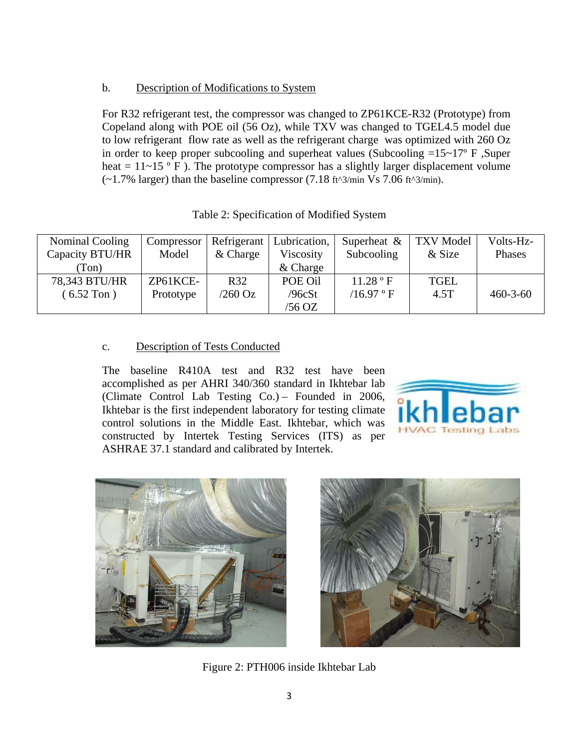### b. Description of Modifications to System

For R32 refrigerant test, the compressor was changed to ZP61KCE-R32 (Prototype) from Copeland along with POE oil (56 Oz), while TXV was changed to TGEL4.5 model due to low refrigerant flow rate as well as the refrigerant charge was optimized with 260 Oz in order to keep proper subcooling and superheat values (Subcooling  $=15~17$ ° F, Super heat =  $11~15$  ° F). The prototype compressor has a slightly larger displacement volume  $(-1.7\%$  larger) than the baseline compressor  $(7.18 \text{ ft}^3/\text{min Vs } 7.06 \text{ ft}^3/\text{min}).$ 

| Nominal Cooling | Compressor | Refrigerant | Lubrication, | Superheat $\&$ | <b>TXV</b> Model | Volts-Hz-      |
|-----------------|------------|-------------|--------------|----------------|------------------|----------------|
| Capacity BTU/HR | Model      | & Charge    | Viscosity    | Subcooling     | & Size           | Phases         |
| Ton)            |            |             | $&$ Charge   |                |                  |                |
| 78,343 BTU/HR   | ZP61KCE-   | R32         | POE Oil      | 11.28 °F       | <b>TGEL</b>      |                |
| $(6.52$ Ton)    | Prototype  | $/260$ Oz   | /96cSt       | /16.97 ° F     | 4.5T             | $460 - 3 - 60$ |
|                 |            |             | /56 OZ       |                |                  |                |

| Table 2: Specification of Modified System |  |
|-------------------------------------------|--|
|-------------------------------------------|--|

### c. Description of Tests Conducted

The baseline R410A test and R32 test have been accomplished as per AHRI 340/360 standard in Ikhtebar lab (Climate Control Lab Testing Co.) – Founded in 2006, Ikhtebar is the first independent laboratory for testing climate control solutions in the Middle East. Ikhtebar, which was constructed by Intertek Testing Services (ITS) as per ASHRAE 37.1 standard and calibrated by Intertek.







Figure 2: PTH006 inside Ikhtebar Lab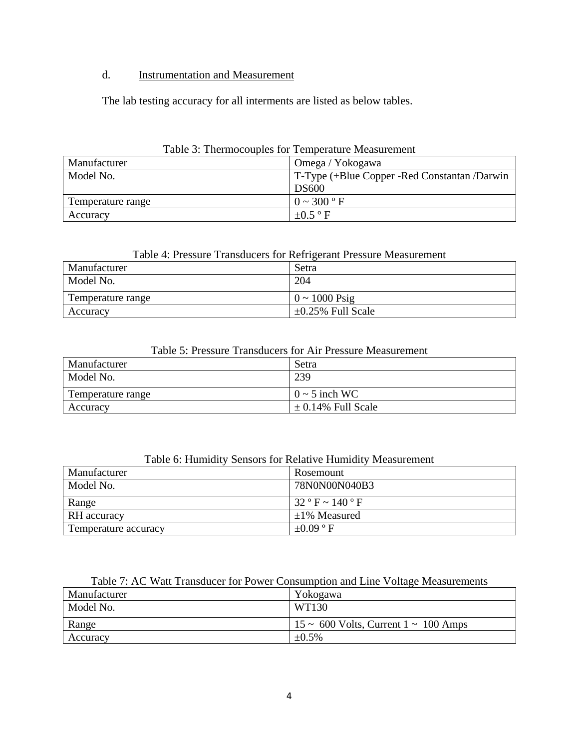### d. Instrumentation and Measurement

The lab testing accuracy for all interments are listed as below tables.

| TMOTA OF THRIBIONOMOTAD TOT TAHINGIMMA TITAMOMIAHININ |                                                |  |
|-------------------------------------------------------|------------------------------------------------|--|
| Manufacturer                                          | Omega / Yokogawa                               |  |
| Model No.                                             | T-Type (+Blue Copper - Red Constantan / Darwin |  |
|                                                       | <b>DS600</b>                                   |  |
| Temperature range                                     | $0 \sim 300$ ° F                               |  |
| Accuracy                                              | $\pm 0.5$ °F                                   |  |

### Table 3: Thermocouples for Temperature Measurement

#### Table 4: Pressure Transducers for Refrigerant Pressure Measurement

| Manufacturer      | Setra                      |
|-------------------|----------------------------|
| Model No.         | 204                        |
| Temperature range | $0 \sim 1000 \text{ Psig}$ |
| Accuracy          | $\pm 0.25\%$ Full Scale    |

### Table 5: Pressure Transducers for Air Pressure Measurement

| Manufacturer      | Setra                  |
|-------------------|------------------------|
| Model No.         | 239                    |
| Temperature range | $0 \sim 5$ inch WC     |
| Accuracy          | $\pm$ 0.14% Full Scale |

### Table 6: Humidity Sensors for Relative Humidity Measurement

| Manufacturer         | Rosemount             |
|----------------------|-----------------------|
| Model No.            | 78N0N00N040B3         |
| Range                | $32 ° F \sim 140 ° F$ |
| RH accuracy          | $\pm 1\%$ Measured    |
| Temperature accuracy | $+0.09$ ° F           |

#### Table 7: AC Watt Transducer for Power Consumption and Line Voltage Measurements

| Manufacturer | Yokogawa                                       |
|--------------|------------------------------------------------|
| Model No.    | WT130                                          |
| Range        | $15 \sim 600$ Volts, Current $1 \sim 100$ Amps |
| Accuracy     | $\pm 0.5\%$                                    |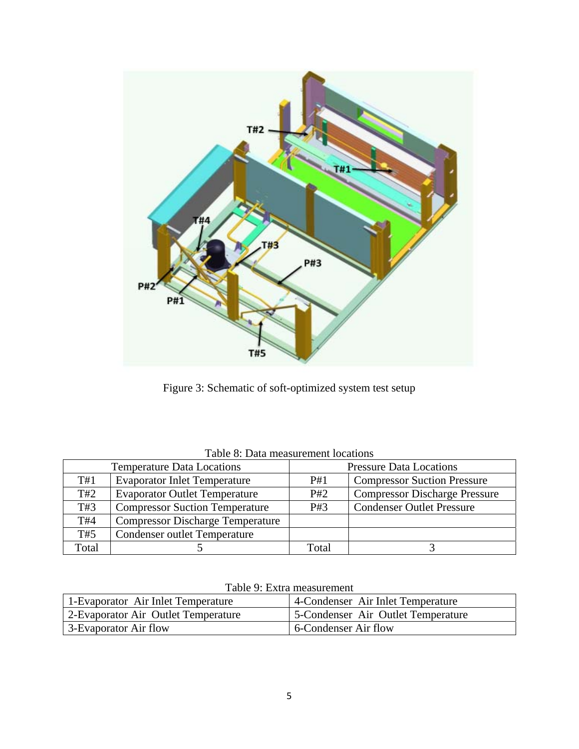

Figure 3: Schematic of soft-optimized system test setup

| <b>Temperature Data Locations</b> |                                         | <b>Pressure Data Locations</b> |                                      |
|-----------------------------------|-----------------------------------------|--------------------------------|--------------------------------------|
| T#1                               | <b>Evaporator Inlet Temperature</b>     | P#1                            | <b>Compressor Suction Pressure</b>   |
| T#2                               | <b>Evaporator Outlet Temperature</b>    | P#2                            | <b>Compressor Discharge Pressure</b> |
| T#3                               | <b>Compressor Suction Temperature</b>   | P#3                            | <b>Condenser Outlet Pressure</b>     |
| T#4                               | <b>Compressor Discharge Temperature</b> |                                |                                      |
| T#5                               | <b>Condenser outlet Temperature</b>     |                                |                                      |
| Total                             |                                         | Total                          |                                      |

Table 8: Data measurement locations

|  |  | Table 9: Extra measurement |
|--|--|----------------------------|
|--|--|----------------------------|

| 1-Evaporator Air Inlet Temperature  | 4-Condenser Air Inlet Temperature  |  |
|-------------------------------------|------------------------------------|--|
| 2-Evaporator Air Outlet Temperature | 5-Condenser Air Outlet Temperature |  |
| 3-Evaporator Air flow               | 6-Condenser Air flow               |  |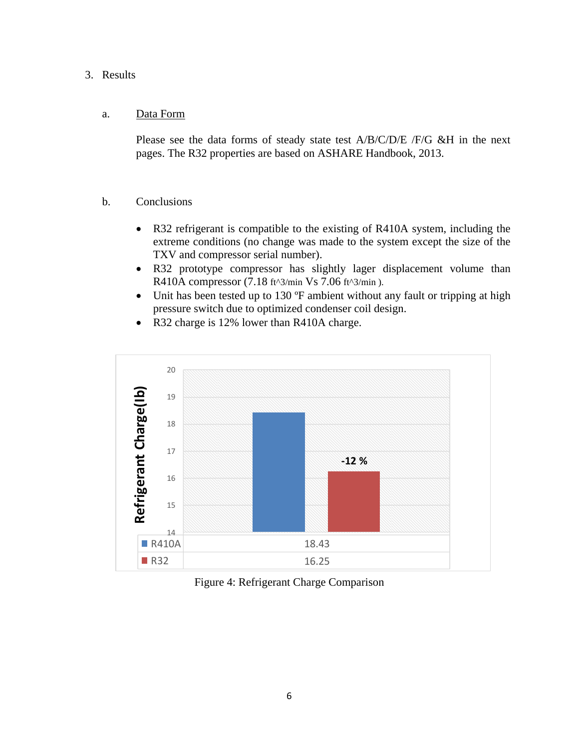### 3. Results

### a. Data Form

Please see the data forms of steady state test A/B/C/D/E /F/G &H in the next pages. The R32 properties are based on ASHARE Handbook, 2013.

- b. Conclusions
	- R32 refrigerant is compatible to the existing of R410A system, including the extreme conditions (no change was made to the system except the size of the TXV and compressor serial number).
	- R32 prototype compressor has slightly lager displacement volume than R410A compressor (7.18 ft^3/min Vs 7.06 ft^3/min ).
	- Unit has been tested up to 130 °F ambient without any fault or tripping at high pressure switch due to optimized condenser coil design.
	- R32 charge is 12% lower than R410A charge.



Figure 4: Refrigerant Charge Comparison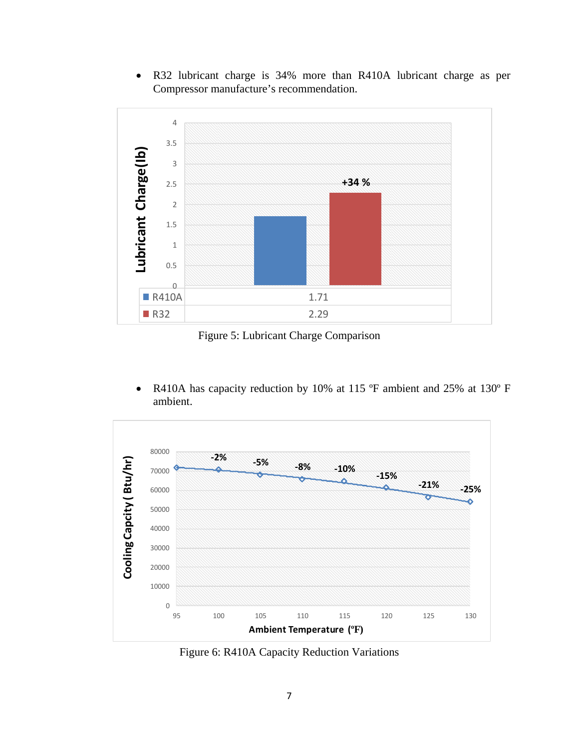R32 lubricant charge is 34% more than R410A lubricant charge as per Compressor manufacture's recommendation.



Figure 5: Lubricant Charge Comparison

 R410A has capacity reduction by 10% at 115 ºF ambient and 25% at 130º F ambient.



Figure 6: R410A Capacity Reduction Variations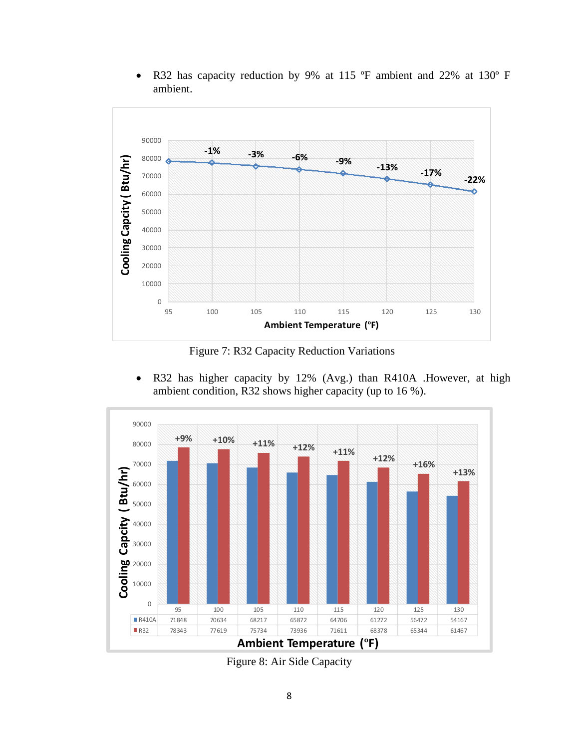- 90000 **‐1% ‐3% ‐6% ‐9% ‐13% ‐17% ‐22%** 80000 Cooling Capcity (Btu/hr) **Cooling Capcity ( Btu/hr)** 70000 60000 50000 40000 30000 20000 10000 0 95 100 105 110 115 120 125 130 **Ambient Temperature (ºF)**
- R32 has capacity reduction by 9% at 115 ºF ambient and 22% at 130º F ambient.

Figure 7: R32 Capacity Reduction Variations

 R32 has higher capacity by 12% (Avg.) than R410A .However, at high ambient condition, R32 shows higher capacity (up to 16 %).



Figure 8: Air Side Capacity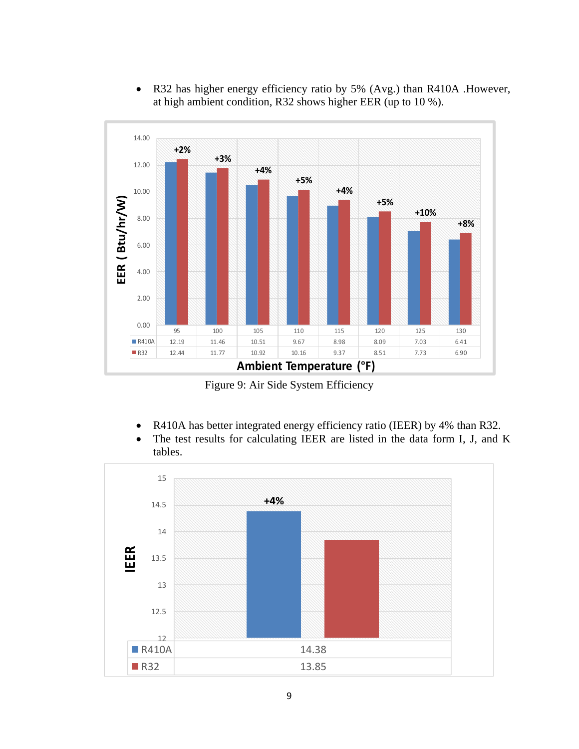- 14.00 **+2% +3%** 12.00 **+4% +5% +4%** 10.00 EER (Btu/hr/W) **EER ( Btu/hr/W) +5% +10%** 8.00 **+8%** 6.00 4.00 2.00 0.00 95 100 105 110 115 120 125 130 R410A 12.19 11.46 10.51 9.67 8.98 8.09 7.03 6.41 R32 | 12.44 | 11.77 | 10.92 | 10.16 | 9.37 | 8.51 | 7.73 | 6.90 **Ambient Temperature (ºF)**
- R32 has higher energy efficiency ratio by 5% (Avg.) than R410A .However, at high ambient condition, R32 shows higher EER (up to 10 %).

Figure 9: Air Side System Efficiency

- R410A has better integrated energy efficiency ratio (IEER) by 4% than R32.
- The test results for calculating IEER are listed in the data form I, J, and K tables.

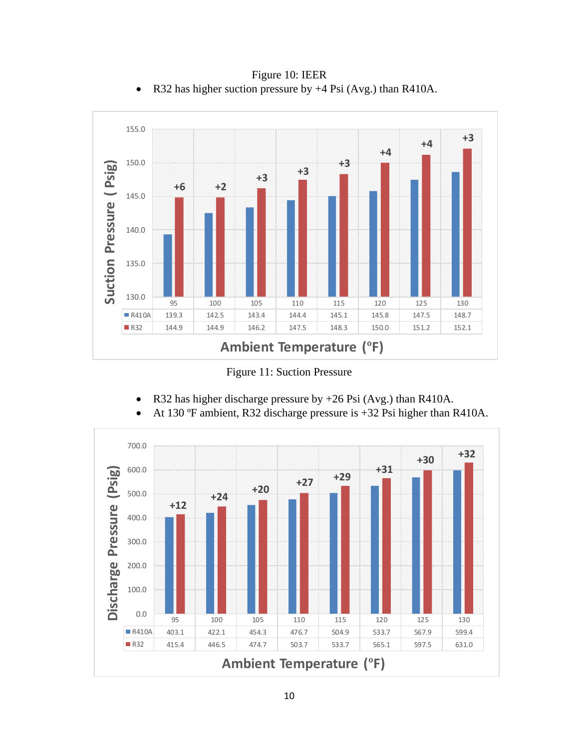

Figure 10: IEER • R32 has higher suction pressure by  $+4$  Psi (Avg.) than R410A.

Figure 11: Suction Pressure

- R32 has higher discharge pressure by +26 Psi (Avg.) than R410A.
- At 130 ºF ambient, R32 discharge pressure is +32 Psi higher than R410A.

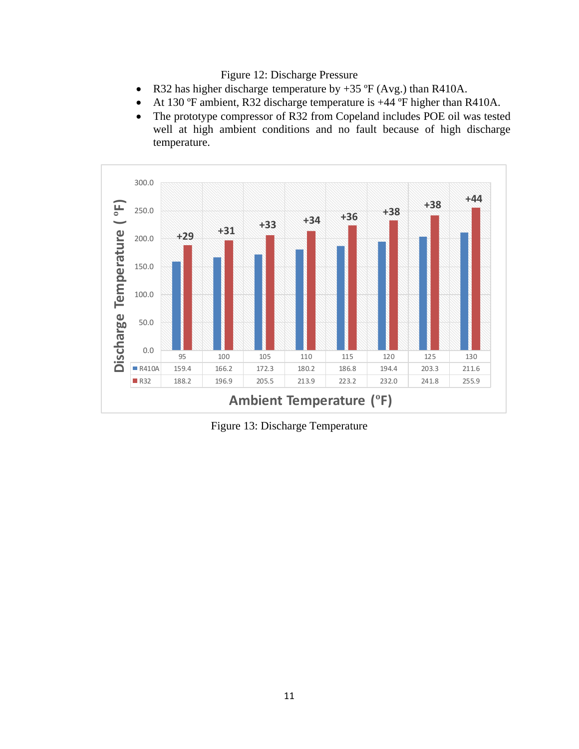Figure 12: Discharge Pressure

- R32 has higher discharge temperature by  $+35 \text{ }^{\circ}\text{F}$  (Avg.) than R410A.
- At 130 ºF ambient, R32 discharge temperature is +44 ºF higher than R410A.
- The prototype compressor of R32 from Copeland includes POE oil was tested well at high ambient conditions and no fault because of high discharge temperature.



Figure 13: Discharge Temperature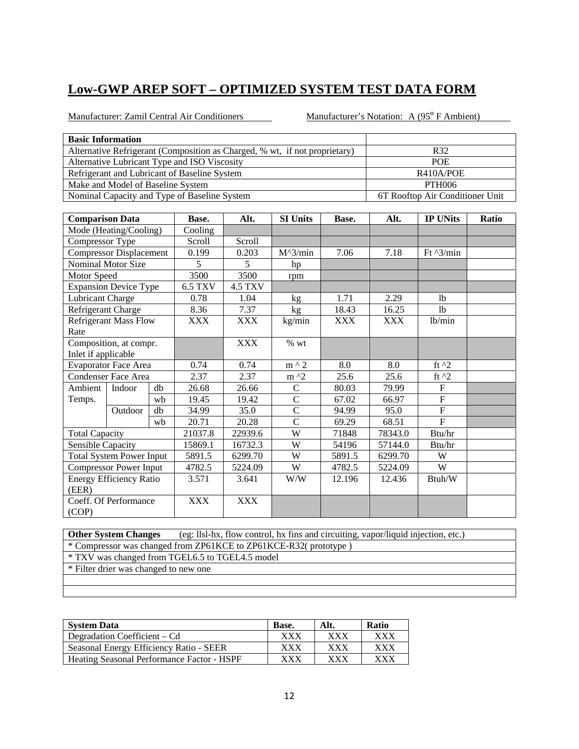Manufacturer: Zamil Central Air Conditioners Manufacturer's Notation: A (95<sup>°</sup> F Ambient)

| <b>Basic Information</b>                                                   |                                 |
|----------------------------------------------------------------------------|---------------------------------|
| Alternative Refrigerant (Composition as Charged, % wt, if not proprietary) | R32                             |
| Alternative Lubricant Type and ISO Viscosity                               | <b>POE</b>                      |
| Refrigerant and Lubricant of Baseline System                               | R410A/POE                       |
| Make and Model of Baseline System                                          | PTH <sub>006</sub>              |
| Nominal Capacity and Type of Baseline System                               | 6T Rooftop Air Conditioner Unit |

| <b>Comparison Data</b> |                                 |    | Base.      | Alt.           | <b>SI Units</b>   | Base.      | Alt.       | <b>IP UNits</b>    | Ratio |
|------------------------|---------------------------------|----|------------|----------------|-------------------|------------|------------|--------------------|-------|
|                        | Mode (Heating/Cooling)          |    | Cooling    |                |                   |            |            |                    |       |
| Compressor Type        |                                 |    | Scroll     | Scroll         |                   |            |            |                    |       |
|                        | <b>Compressor Displacement</b>  |    | 0.199      | 0.203          | $M^{\wedge}3/min$ | 7.06       | 7.18       | Ft $\frac{3}{min}$ |       |
|                        | <b>Nominal Motor Size</b>       |    | 5          | 5              | hp                |            |            |                    |       |
| Motor Speed            |                                 |    | 3500       | 3500           | rpm               |            |            |                    |       |
|                        | <b>Expansion Device Type</b>    |    | 6.5 TXV    | <b>4.5 TXV</b> |                   |            |            |                    |       |
| Lubricant Charge       |                                 |    | 0.78       | 1.04           | kg                | 1.71       | 2.29       | <b>lb</b>          |       |
| Refrigerant Charge     |                                 |    | 8.36       | 7.37           | kg                | 18.43      | 16.25      | 1 <sub>b</sub>     |       |
|                        | <b>Refrigerant Mass Flow</b>    |    | XXX        | XXX            | kg/min            | <b>XXX</b> | <b>XXX</b> | lb/min             |       |
| Rate                   |                                 |    |            |                |                   |            |            |                    |       |
|                        | Composition, at compr.          |    |            | <b>XXX</b>     | $%$ wt            |            |            |                    |       |
| Inlet if applicable    |                                 |    |            |                |                   |            |            |                    |       |
|                        | <b>Evaporator Face Area</b>     |    | 0.74       | 0.74           | $m \wedge 2$      | 8.0        | 8.0        | ft $^2$            |       |
|                        | <b>Condenser Face Area</b>      |    | 2.37       | 2.37           | $m^2$             | 25.6       | 25.6       | ft $^{12}$         |       |
| Ambient                | Indoor                          | db | 26.68      | 26.66          | $\mathsf{C}$      | 80.03      | 79.99      | $\mathbf{F}$       |       |
| Temps.                 |                                 | wh | 19.45      | 19.42          | $\mathsf{C}$      | 67.02      | 66.97      | $\mathbf{F}$       |       |
|                        | Outdoor                         | db | 34.99      | 35.0           | $\mathcal{C}$     | 94.99      | 95.0       | $\mathbf F$        |       |
|                        |                                 | wb | 20.71      | 20.28          | $\mathcal{C}$     | 69.29      | 68.51      | $F_{\rm}$          |       |
| <b>Total Capacity</b>  |                                 |    | 21037.8    | 22939.6        | W                 | 71848      | 78343.0    | Btu/hr             |       |
| Sensible Capacity      |                                 |    | 15869.1    | 16732.3        | W                 | 54196      | 57144.0    | Btu/hr             |       |
|                        | <b>Total System Power Input</b> |    | 5891.5     | 6299.70        | W                 | 5891.5     | 6299.70    | W                  |       |
|                        | <b>Compressor Power Input</b>   |    | 4782.5     | 5224.09        | W                 | 4782.5     | 5224.09    | W                  |       |
|                        | <b>Energy Efficiency Ratio</b>  |    | 3.571      | 3.641          | W/W               | 12.196     | 12.436     | Btuh/W             |       |
| (EER)                  |                                 |    |            |                |                   |            |            |                    |       |
|                        | Coeff. Of Performance           |    | <b>XXX</b> | <b>XXX</b>     |                   |            |            |                    |       |
| (COP)                  |                                 |    |            |                |                   |            |            |                    |       |

**Other System Changes** (eg: llsl-hx, flow control, hx fins and circuiting, vapor/liquid injection, etc.) \* Compressor was changed from ZP61KCE to ZP61KCE-R32( prototype ) \* TXV was changed from TGEL6.5 to TGEL4.5 model \* Filter drier was changed to new one

| <b>System Data</b>                         | Base.       | Alt.       | <b>Ratio</b> |
|--------------------------------------------|-------------|------------|--------------|
| Degradation Coefficient – Cd               | XXX         | <b>XXX</b> | xxx          |
| Seasonal Energy Efficiency Ratio - SEER    | ${\rm XXX}$ | XXX        | xxx          |
| Heating Seasonal Performance Factor - HSPF | xxx         | xxx        | ${\bf XXX}$  |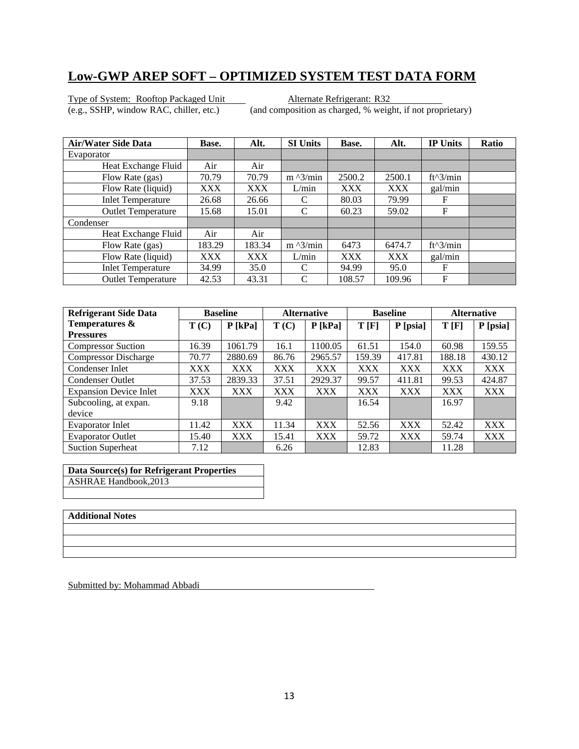Type of System: Rooftop Packaged Unit<br>
(e.g., SSHP, window RAC, chiller, etc.) (and composition as charged, % weight)

(and composition as charged, % weight, if not proprietary)

| <b>Air/Water Side Data</b> | Base.      | Alt.   | <b>SI Units</b>   | Base.      | Alt.       | <b>IP Units</b> | Ratio |
|----------------------------|------------|--------|-------------------|------------|------------|-----------------|-------|
| Evaporator                 |            |        |                   |            |            |                 |       |
| Heat Exchange Fluid        | Air        | Air    |                   |            |            |                 |       |
| Flow Rate (gas)            | 70.79      | 70.79  | $m \frac{3}{min}$ | 2500.2     | 2500.1     | $ft^3/min$      |       |
| Flow Rate (liquid)         | <b>XXX</b> | XXX    | L/min             | <b>XXX</b> | <b>XXX</b> | gal/min         |       |
| <b>Inlet Temperature</b>   | 26.68      | 26.66  | C                 | 80.03      | 79.99      | F               |       |
| <b>Outlet Temperature</b>  | 15.68      | 15.01  | C                 | 60.23      | 59.02      | F               |       |
| Condenser                  |            |        |                   |            |            |                 |       |
| Heat Exchange Fluid        | Air        | Air    |                   |            |            |                 |       |
| Flow Rate (gas)            | 183.29     | 183.34 | $m \lambda$ 3/min | 6473       | 6474.7     | ft^3/min        |       |
| Flow Rate (liquid)         | <b>XXX</b> | XXX    | L/min             | <b>XXX</b> | <b>XXX</b> | gal/min         |       |
| <b>Inlet Temperature</b>   | 34.99      | 35.0   | C                 | 94.99      | 95.0       | F               |       |
| <b>Outlet Temperature</b>  | 42.53      | 43.31  | C                 | 108.57     | 109.96     | F               |       |

| <b>Refrigerant Side Data</b>  | <b>Baseline</b> |            | <b>Alternative</b> |            | <b>Baseline</b> |            | <b>Alternative</b> |            |
|-------------------------------|-----------------|------------|--------------------|------------|-----------------|------------|--------------------|------------|
| Temperatures &                | T(C)            | $P$ [kPa]  | T(C)               | $P$ [kPa]  | T[F]            | P [psia]   | T[F]               | P [psia]   |
| <b>Pressures</b>              |                 |            |                    |            |                 |            |                    |            |
| <b>Compressor Suction</b>     | 16.39           | 1061.79    | 16.1               | 1100.05    | 61.51           | 154.0      | 60.98              | 159.55     |
| <b>Compressor Discharge</b>   | 70.77           | 2880.69    | 86.76              | 2965.57    | 159.39          | 417.81     | 188.18             | 430.12     |
| Condenser Inlet               | XXX             | <b>XXX</b> | <b>XXX</b>         | <b>XXX</b> | <b>XXX</b>      | <b>XXX</b> | <b>XXX</b>         | <b>XXX</b> |
| <b>Condenser Outlet</b>       | 37.53           | 2839.33    | 37.51              | 2929.37    | 99.57           | 411.81     | 99.53              | 424.87     |
| <b>Expansion Device Inlet</b> | XXX             | <b>XXX</b> | <b>XXX</b>         | <b>XXX</b> | <b>XXX</b>      | <b>XXX</b> | <b>XXX</b>         | <b>XXX</b> |
| Subcooling, at expan.         | 9.18            |            | 9.42               |            | 16.54           |            | 16.97              |            |
| device                        |                 |            |                    |            |                 |            |                    |            |
| <b>Evaporator Inlet</b>       | 11.42           | <b>XXX</b> | 11.34              | <b>XXX</b> | 52.56           | <b>XXX</b> | 52.42              | <b>XXX</b> |
| <b>Evaporator Outlet</b>      | 15.40           | <b>XXX</b> | 15.41              | <b>XXX</b> | 59.72           | <b>XXX</b> | 59.74              | <b>XXX</b> |
| <b>Suction Superheat</b>      | 7.12            |            | 6.26               |            | 12.83           |            | 11.28              |            |

**Data Source(s) for Refrigerant Properties**  ASHRAE Handbook,2013

#### **Additional Notes**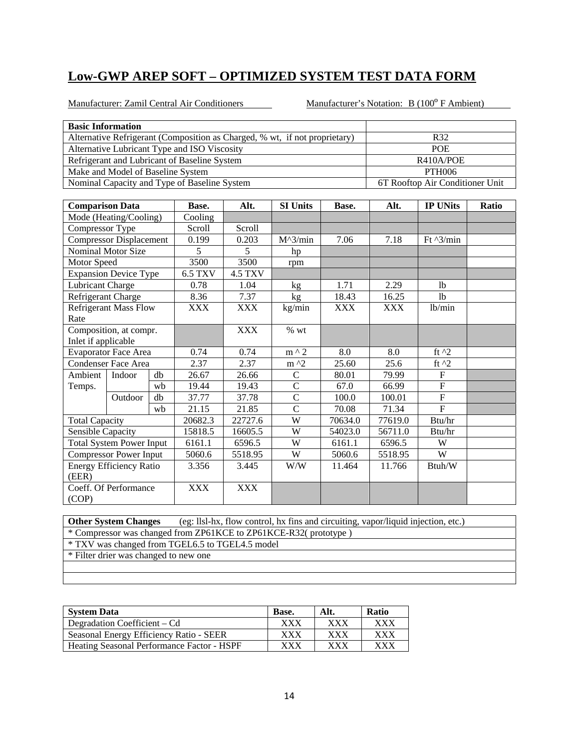Manufacturer: Zamil Central Air Conditioners Manufacturer's Notation: B (100° F Ambient)

| <b>Basic Information</b>     |                                   |    |                                              |                |                                                                            |            |            |                                 |       |  |  |
|------------------------------|-----------------------------------|----|----------------------------------------------|----------------|----------------------------------------------------------------------------|------------|------------|---------------------------------|-------|--|--|
|                              |                                   |    |                                              |                | Alternative Refrigerant (Composition as Charged, % wt, if not proprietary) |            |            | R32                             |       |  |  |
|                              |                                   |    | Alternative Lubricant Type and ISO Viscosity |                |                                                                            |            |            | <b>POE</b>                      |       |  |  |
|                              |                                   |    | Refrigerant and Lubricant of Baseline System |                |                                                                            |            | R410A/POE  |                                 |       |  |  |
|                              | Make and Model of Baseline System |    |                                              |                |                                                                            |            |            | <b>PTH006</b>                   |       |  |  |
|                              |                                   |    | Nominal Capacity and Type of Baseline System |                |                                                                            |            |            | 6T Rooftop Air Conditioner Unit |       |  |  |
|                              |                                   |    |                                              |                |                                                                            |            |            |                                 |       |  |  |
| <b>Comparison Data</b>       |                                   |    | Base.                                        | Alt.           | <b>SI Units</b>                                                            | Base.      | Alt.       | <b>IP UNits</b>                 | Ratio |  |  |
|                              | Mode (Heating/Cooling)            |    | Cooling                                      |                |                                                                            |            |            |                                 |       |  |  |
| Compressor Type              |                                   |    | Scroll                                       | Scroll         |                                                                            |            |            |                                 |       |  |  |
|                              | <b>Compressor Displacement</b>    |    | 0.199                                        | 0.203          | $M^3/min$                                                                  | 7.06       | 7.18       | Ft $^{3/min}$                   |       |  |  |
|                              | Nominal Motor Size                |    | 5                                            | 5              | hp                                                                         |            |            |                                 |       |  |  |
| Motor Speed                  |                                   |    | 3500                                         | 3500           | rpm                                                                        |            |            |                                 |       |  |  |
|                              | <b>Expansion Device Type</b>      |    | <b>6.5 TXV</b>                               | <b>4.5 TXV</b> |                                                                            |            |            |                                 |       |  |  |
| <b>Lubricant Charge</b>      |                                   |    | 0.78                                         | 1.04           | kg                                                                         | 1.71       | 2.29       | <sup>1</sup>                    |       |  |  |
| Refrigerant Charge           |                                   |    | 8.36                                         | 7.37           | kg                                                                         | 18.43      | 16.25      | <b>lb</b>                       |       |  |  |
| <b>Refrigerant Mass Flow</b> |                                   |    | <b>XXX</b>                                   | <b>XXX</b>     | kg/min                                                                     | <b>XXX</b> | <b>XXX</b> | lb/min                          |       |  |  |
| Rate                         |                                   |    |                                              |                |                                                                            |            |            |                                 |       |  |  |
|                              | Composition, at compr.            |    |                                              | <b>XXX</b>     | $\%$ wt                                                                    |            |            |                                 |       |  |  |
| Inlet if applicable          |                                   |    |                                              |                |                                                                            |            |            |                                 |       |  |  |
|                              | <b>Evaporator Face Area</b>       |    | 0.74                                         | 0.74           | m ^ 2                                                                      | 8.0        | 8.0        | ft $^2$                         |       |  |  |
|                              | Condenser Face Area               |    | 2.37                                         | 2.37           | $m \lambda$                                                                | 25.60      | 25.6       | ft $^2$                         |       |  |  |
| Ambient                      | Indoor                            | db | 26.67                                        | 26.66          | $\mathbf C$                                                                | 80.01      | 79.99      | $\mathbf F$                     |       |  |  |
| Temps.                       |                                   | wb | 19.44                                        | 19.43          | $\mathsf{C}$                                                               | 67.0       | 66.99      | $\mathbf F$                     |       |  |  |
|                              | Outdoor                           | db | 37.77                                        | 37.78          | $\overline{C}$                                                             | 100.0      | 100.01     | ${\bf F}$                       |       |  |  |
|                              |                                   | wb | 21.15                                        | 21.85          | $\mathcal{C}$                                                              | 70.08      | 71.34      | $\overline{F}$                  |       |  |  |
| <b>Total Capacity</b>        |                                   |    | 20682.3                                      | 22727.6        | W                                                                          | 70634.0    | 77619.0    | Btu/hr                          |       |  |  |
| <b>Sensible Capacity</b>     |                                   |    | 15818.5                                      | 16605.5        | W                                                                          | 54023.0    | 56711.0    | Btu/hr                          |       |  |  |
|                              | <b>Total System Power Input</b>   |    | 6161.1                                       | 6596.5         | W                                                                          | 6161.1     | 6596.5     | $\ensuremath{\text{W}}$         |       |  |  |
|                              | <b>Compressor Power Input</b>     |    | 5060.6                                       | 5518.95        | W                                                                          | 5060.6     | 5518.95    | W                               |       |  |  |
|                              | <b>Energy Efficiency Ratio</b>    |    | 3.356                                        | 3.445          | W/W                                                                        | 11.464     | 11.766     | Btuh/W                          |       |  |  |
| (EER)                        |                                   |    |                                              |                |                                                                            |            |            |                                 |       |  |  |
|                              | Coeff. Of Performance             |    | <b>XXX</b>                                   | <b>XXX</b>     |                                                                            |            |            |                                 |       |  |  |
| (COP)                        |                                   |    |                                              |                |                                                                            |            |            |                                 |       |  |  |

**Other System Changes** (eg: llsl-hx, flow control, hx fins and circuiting, vapor/liquid injection, etc.) \* Compressor was changed from ZP61KCE to ZP61KCE-R32( prototype )

\* TXV was changed from TGEL6.5 to TGEL4.5 model

| <b>System Data</b>                                | Base.       | Alt. | <b>Ratio</b> |
|---------------------------------------------------|-------------|------|--------------|
| Degradation Coefficient – Cd                      | xxx         | XXX  | <b>XXX</b>   |
| Seasonal Energy Efficiency Ratio - SEER           | ${\rm XXX}$ | XXX  | XXX          |
| <b>Heating Seasonal Performance Factor - HSPF</b> | ${\rm XXX}$ | xxx  | xxx          |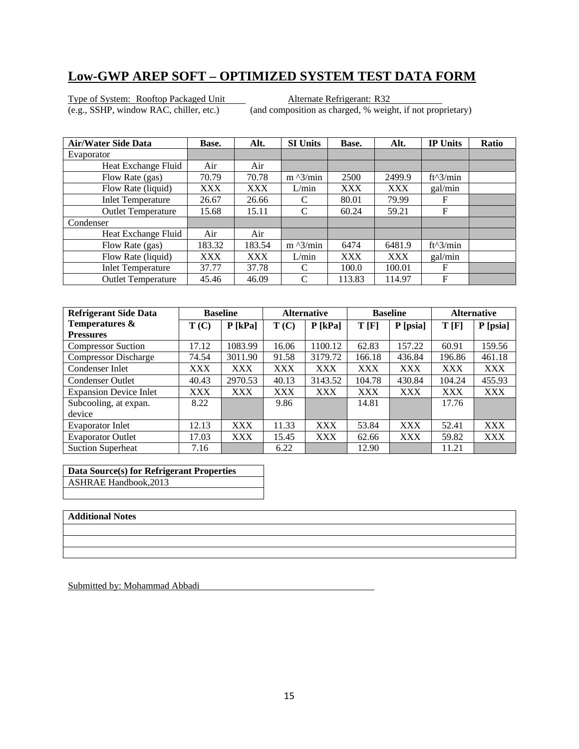Type of System: Rooftop Packaged Unit<br>
(e.g., SSHP, window RAC, chiller, etc.) (and composition as charged, % weight)

(and composition as charged, % weight, if not proprietary)

| Air/Water Side Data       | Base.      | Alt.   | <b>SI Units</b>   | Base.      | Alt.       | <b>IP Units</b> | <b>Ratio</b> |
|---------------------------|------------|--------|-------------------|------------|------------|-----------------|--------------|
| Evaporator                |            |        |                   |            |            |                 |              |
| Heat Exchange Fluid       | Air        | Air    |                   |            |            |                 |              |
| Flow Rate (gas)           | 70.79      | 70.78  | $m \frac{3}{min}$ | 2500       | 2499.9     | $ft^3/min$      |              |
| Flow Rate (liquid)        | <b>XXX</b> | XXX    | L/min             | <b>XXX</b> | <b>XXX</b> | gal/min         |              |
| <b>Inlet Temperature</b>  | 26.67      | 26.66  | C                 | 80.01      | 79.99      | F               |              |
| <b>Outlet Temperature</b> | 15.68      | 15.11  | C                 | 60.24      | 59.21      | F               |              |
| Condenser                 |            |        |                   |            |            |                 |              |
| Heat Exchange Fluid       | Air        | Air    |                   |            |            |                 |              |
| Flow Rate (gas)           | 183.32     | 183.54 | $m \lambda$ 3/min | 6474       | 6481.9     | $ft^3/min$      |              |
| Flow Rate (liquid)        | <b>XXX</b> | XXX    | L/min             | <b>XXX</b> | <b>XXX</b> | gal/min         |              |
| <b>Inlet Temperature</b>  | 37.77      | 37.78  | C                 | 100.0      | 100.01     | F               |              |
| <b>Outlet Temperature</b> | 45.46      | 46.09  | C                 | 113.83     | 114.97     | F               |              |

| <b>Refrigerant Side Data</b>  | <b>Baseline</b> |            | <b>Alternative</b> |            | <b>Baseline</b> |            | <b>Alternative</b> |            |
|-------------------------------|-----------------|------------|--------------------|------------|-----------------|------------|--------------------|------------|
| Temperatures &                | T(C)            | $P$ [kPa]  | T(C)               | $P$ [kPa]  | T[F]            | P [psia]   | T[F]               | P [psia]   |
| <b>Pressures</b>              |                 |            |                    |            |                 |            |                    |            |
| <b>Compressor Suction</b>     | 17.12           | 1083.99    | 16.06              | 1100.12    | 62.83           | 157.22     | 60.91              | 159.56     |
| <b>Compressor Discharge</b>   | 74.54           | 3011.90    | 91.58              | 3179.72    | 166.18          | 436.84     | 196.86             | 461.18     |
| Condenser Inlet               | XXX             | <b>XXX</b> | XXX                | <b>XXX</b> | XXX             | <b>XXX</b> | <b>XXX</b>         | <b>XXX</b> |
| <b>Condenser Outlet</b>       | 40.43           | 2970.53    | 40.13              | 3143.52    | 104.78          | 430.84     | 104.24             | 455.93     |
| <b>Expansion Device Inlet</b> | XXX             | <b>XXX</b> | <b>XXX</b>         | <b>XXX</b> | <b>XXX</b>      | <b>XXX</b> | <b>XXX</b>         | XXX        |
| Subcooling, at expan.         | 8.22            |            | 9.86               |            | 14.81           |            | 17.76              |            |
| device                        |                 |            |                    |            |                 |            |                    |            |
| Evaporator Inlet              | 12.13           | <b>XXX</b> | 11.33              | <b>XXX</b> | 53.84           | <b>XXX</b> | 52.41              | <b>XXX</b> |
| <b>Evaporator Outlet</b>      | 17.03           | <b>XXX</b> | 15.45              | <b>XXX</b> | 62.66           | <b>XXX</b> | 59.82              | XXX        |
| <b>Suction Superheat</b>      | 7.16            |            | 6.22               |            | 12.90           |            | 11.21              |            |

**Data Source(s) for Refrigerant Properties**  ASHRAE Handbook,2013

#### **Additional Notes**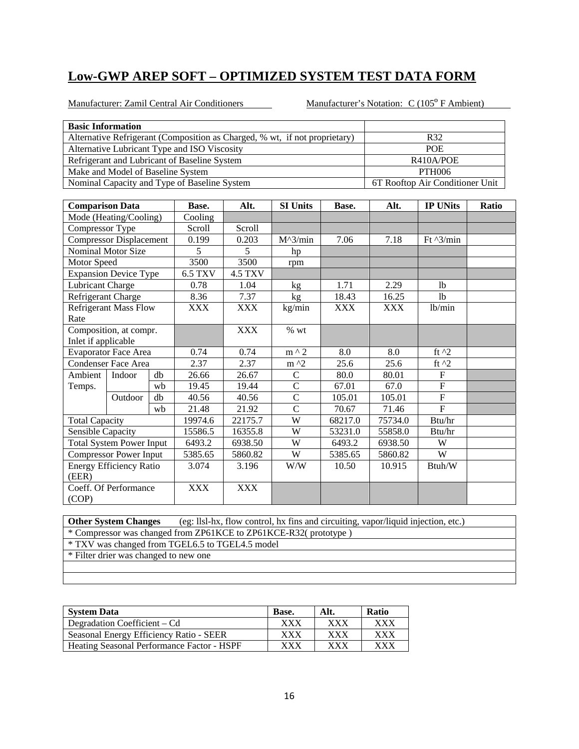Manufacturer: Zamil Central Air Conditioners Manufacturer's Notation: C (105<sup>°</sup> F Ambient)

| <b>Basic Information</b>                     |                                   |    |                                              |                |                                                                            |         |               |                                 |       |  |  |
|----------------------------------------------|-----------------------------------|----|----------------------------------------------|----------------|----------------------------------------------------------------------------|---------|---------------|---------------------------------|-------|--|--|
|                                              |                                   |    |                                              |                | Alternative Refrigerant (Composition as Charged, % wt, if not proprietary) |         |               | R32                             |       |  |  |
|                                              |                                   |    | Alternative Lubricant Type and ISO Viscosity |                |                                                                            |         |               | <b>POE</b>                      |       |  |  |
|                                              |                                   |    | Refrigerant and Lubricant of Baseline System |                |                                                                            |         | R410A/POE     |                                 |       |  |  |
|                                              | Make and Model of Baseline System |    |                                              |                |                                                                            |         | <b>PTH006</b> |                                 |       |  |  |
| Nominal Capacity and Type of Baseline System |                                   |    |                                              |                |                                                                            |         |               | 6T Rooftop Air Conditioner Unit |       |  |  |
|                                              |                                   |    |                                              |                |                                                                            |         |               |                                 |       |  |  |
| <b>Comparison Data</b>                       |                                   |    | Base.                                        | Alt.           | <b>SI Units</b>                                                            | Base.   | Alt.          | <b>IP UNits</b>                 | Ratio |  |  |
|                                              | Mode (Heating/Cooling)            |    | Cooling                                      |                |                                                                            |         |               |                                 |       |  |  |
| Compressor Type                              |                                   |    | Scroll                                       | Scroll         |                                                                            |         |               |                                 |       |  |  |
|                                              | <b>Compressor Displacement</b>    |    | 0.199                                        | 0.203          | $M^3/min$                                                                  | 7.06    | 7.18          | Ft $\frac{3}{min}$              |       |  |  |
|                                              | Nominal Motor Size                |    | 5                                            | 5              | hp                                                                         |         |               |                                 |       |  |  |
| Motor Speed                                  |                                   |    | 3500                                         | 3500           | rpm                                                                        |         |               |                                 |       |  |  |
|                                              | <b>Expansion Device Type</b>      |    | 6.5 TXV                                      | <b>4.5 TXV</b> |                                                                            |         |               |                                 |       |  |  |
| <b>Lubricant Charge</b>                      |                                   |    | 0.78<br>8.36                                 | 1.04           | kg                                                                         | 1.71    | 2.29          | <sup>1</sup>                    |       |  |  |
|                                              | Refrigerant Charge                |    |                                              | 7.37           | kg                                                                         | 18.43   | 16.25         | 1 <sub>b</sub>                  |       |  |  |
|                                              | <b>Refrigerant Mass Flow</b>      |    | XXX                                          | <b>XXX</b>     | kg/min                                                                     | XXX     | <b>XXX</b>    | lb/min                          |       |  |  |
| Rate                                         |                                   |    |                                              |                |                                                                            |         |               |                                 |       |  |  |
|                                              | Composition, at compr.            |    |                                              | <b>XXX</b>     | % wt                                                                       |         |               |                                 |       |  |  |
| Inlet if applicable                          |                                   |    |                                              |                |                                                                            |         |               |                                 |       |  |  |
|                                              | <b>Evaporator Face Area</b>       |    | 0.74                                         | 0.74           | $m \wedge 2$                                                               | 8.0     | 8.0           | ft $^2$                         |       |  |  |
|                                              | <b>Condenser Face Area</b>        |    | 2.37                                         | 2.37           | m ^2                                                                       | 25.6    | 25.6          | ft $^2$                         |       |  |  |
| Ambient                                      | Indoor                            | db | 26.66                                        | 26.67          | $\mathcal{C}$                                                              | 80.0    | 80.01         | $\mathbf F$                     |       |  |  |
| Temps.                                       |                                   | wb | 19.45                                        | 19.44          | $\overline{C}$                                                             | 67.01   | 67.0          | $\overline{F}$                  |       |  |  |
|                                              | Outdoor                           | db | 40.56                                        | 40.56          | $\overline{C}$                                                             | 105.01  | 105.01        | $\overline{F}$                  |       |  |  |
|                                              |                                   | wb | 21.48                                        | 21.92          | $\overline{C}$                                                             | 70.67   | 71.46         | $\overline{F}$                  |       |  |  |
| <b>Total Capacity</b>                        |                                   |    | 19974.6                                      | 22175.7        | W                                                                          | 68217.0 | 75734.0       | Btu/hr                          |       |  |  |
| Sensible Capacity                            |                                   |    | 15586.5                                      | 16355.8        | W                                                                          | 53231.0 | 55858.0       | Btu/hr                          |       |  |  |
|                                              | <b>Total System Power Input</b>   |    | 6493.2                                       | 6938.50        | W                                                                          | 6493.2  | 6938.50       | W                               |       |  |  |
|                                              | <b>Compressor Power Input</b>     |    | 5385.65                                      | 5860.82        | $\ensuremath{\text{W}}$                                                    | 5385.65 | 5860.82       | $\overline{W}$                  |       |  |  |
|                                              | <b>Energy Efficiency Ratio</b>    |    | 3.074                                        | 3.196          | W/W                                                                        | 10.50   | 10.915        | Btuh/W                          |       |  |  |
| (EER)                                        |                                   |    |                                              |                |                                                                            |         |               |                                 |       |  |  |
|                                              | Coeff. Of Performance             |    | <b>XXX</b>                                   | <b>XXX</b>     |                                                                            |         |               |                                 |       |  |  |
| (COP)                                        |                                   |    |                                              |                |                                                                            |         |               |                                 |       |  |  |

**Other System Changes** (eg: llsl-hx, flow control, hx fins and circuiting, vapor/liquid injection, etc.) \* Compressor was changed from ZP61KCE to ZP61KCE-R32( prototype ) \* TXV was changed from TGEL6.5 to TGEL4.5 model

| <b>System Data</b>                         | Base.       | Alt. | <b>Ratio</b> |
|--------------------------------------------|-------------|------|--------------|
| Degradation Coefficient – Cd               | ${\rm XXX}$ | xxx  | xxx          |
| Seasonal Energy Efficiency Ratio - SEER    | ${\rm XXX}$ | xxx  | XXX          |
| Heating Seasonal Performance Factor - HSPF | ${\rm XXX}$ | xxx  | XXX          |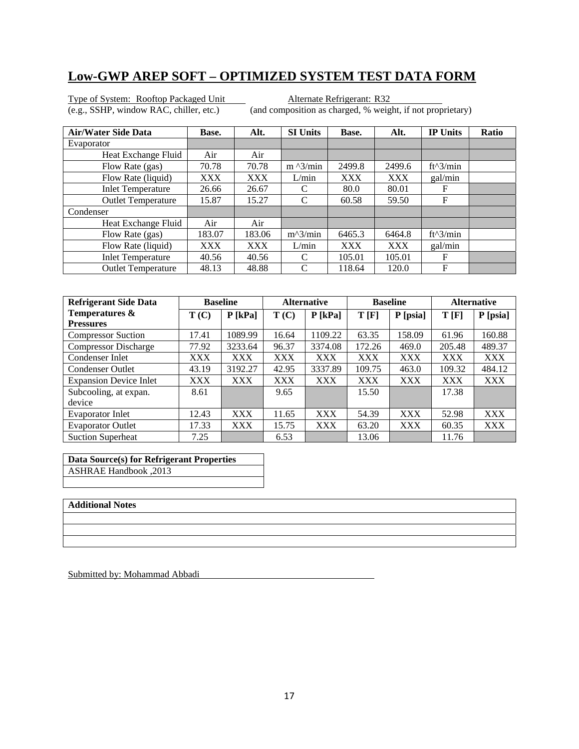Type of System: Rooftop Packaged Unit<br>
(e.g., SSHP, window RAC, chiller, etc.) (and composition as charged, % weight)

(and composition as charged, % weight, if not proprietary)

| <b>Air/Water Side Data</b> | Base.      | Alt.       | <b>SI Units</b>           | Base.      | Alt.       | <b>IP Units</b> | Ratio |
|----------------------------|------------|------------|---------------------------|------------|------------|-----------------|-------|
| Evaporator                 |            |            |                           |            |            |                 |       |
| Heat Exchange Fluid        | Air        | Air        |                           |            |            |                 |       |
| Flow Rate (gas)            | 70.78      | 70.78      | $m \frac{\lambda}{3}$ min | 2499.8     | 2499.6     | $ft^3/min$      |       |
| Flow Rate (liquid)         | <b>XXX</b> | XXX        | L/min                     | <b>XXX</b> | <b>XXX</b> | gal/min         |       |
| <b>Inlet Temperature</b>   | 26.66      | 26.67      | C                         | 80.0       | 80.01      | F               |       |
| <b>Outlet Temperature</b>  | 15.87      | 15.27      | C                         | 60.58      | 59.50      | F               |       |
| Condenser                  |            |            |                           |            |            |                 |       |
| Heat Exchange Fluid        | Air        | Air        |                           |            |            |                 |       |
| Flow Rate (gas)            | 183.07     | 183.06     | $m^2/$ min                | 6465.3     | 6464.8     | $ft^3/min$      |       |
| Flow Rate (liquid)         | <b>XXX</b> | <b>XXX</b> | L/min                     | <b>XXX</b> | XXX        | gal/min         |       |
| <b>Inlet Temperature</b>   | 40.56      | 40.56      | C                         | 105.01     | 105.01     | F               |       |
| <b>Outlet Temperature</b>  | 48.13      | 48.88      | C                         | 118.64     | 120.0      | F               |       |

| <b>Refrigerant Side Data</b>  | <b>Baseline</b> |            | <b>Alternative</b> |            | <b>Baseline</b> |            | <b>Alternative</b> |            |
|-------------------------------|-----------------|------------|--------------------|------------|-----------------|------------|--------------------|------------|
| Temperatures &                | T(C)            | $P$ [kPa]  | T(C)               | $P$ [kPa]  | T[F]            | P [psia]   | T[F]               | P [psia]   |
| <b>Pressures</b>              |                 |            |                    |            |                 |            |                    |            |
| <b>Compressor Suction</b>     | 17.41           | 1089.99    | 16.64              | 1109.22    | 63.35           | 158.09     | 61.96              | 160.88     |
| <b>Compressor Discharge</b>   | 77.92           | 3233.64    | 96.37              | 3374.08    | 172.26          | 469.0      | 205.48             | 489.37     |
| Condenser Inlet               | XXX             | <b>XXX</b> | XXX                | <b>XXX</b> | <b>XXX</b>      | XXX        | <b>XXX</b>         | <b>XXX</b> |
| <b>Condenser Outlet</b>       | 43.19           | 3192.27    | 42.95              | 3337.89    | 109.75          | 463.0      | 109.32             | 484.12     |
| <b>Expansion Device Inlet</b> | XXX             | <b>XXX</b> | XXX                | <b>XXX</b> | <b>XXX</b>      | <b>XXX</b> | <b>XXX</b>         | <b>XXX</b> |
| Subcooling, at expan.         | 8.61            |            | 9.65               |            | 15.50           |            | 17.38              |            |
| device                        |                 |            |                    |            |                 |            |                    |            |
| <b>Evaporator Inlet</b>       | 12.43           | <b>XXX</b> | 11.65              | <b>XXX</b> | 54.39           | XXX        | 52.98              | <b>XXX</b> |
| <b>Evaporator Outlet</b>      | 17.33           | <b>XXX</b> | 15.75              | <b>XXX</b> | 63.20           | XXX        | 60.35              | <b>XXX</b> |
| <b>Suction Superheat</b>      | 7.25            |            | 6.53               |            | 13.06           |            | 11.76              |            |

| Data Source(s) for Refrigerant Properties |
|-------------------------------------------|
| 2013, ASHRAE Handbook                     |

#### **Additional Notes**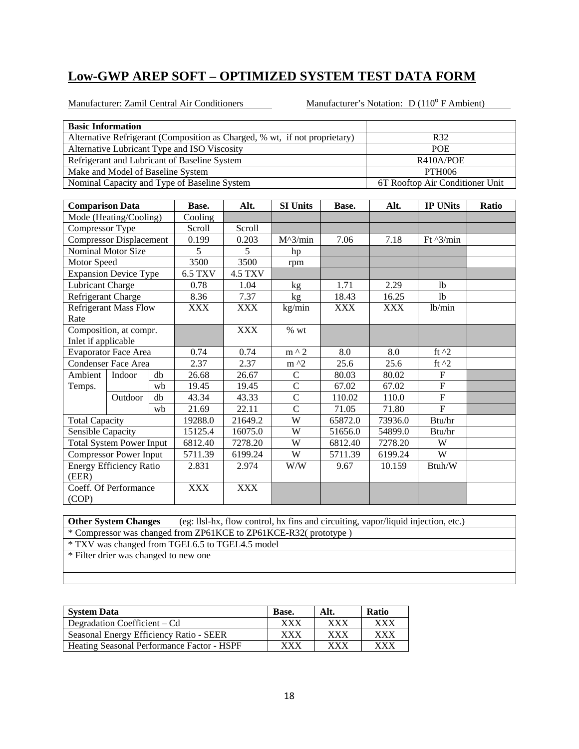Manufacturer: Zamil Central Air Conditioners Manufacturer's Notation: D (110<sup>°</sup> F Ambient)

| <b>Basic Information</b>     |                                   |    |                                              |                |                                                                            |            |            |                                 |       |  |
|------------------------------|-----------------------------------|----|----------------------------------------------|----------------|----------------------------------------------------------------------------|------------|------------|---------------------------------|-------|--|
|                              |                                   |    |                                              |                | Alternative Refrigerant (Composition as Charged, % wt, if not proprietary) |            |            | R32                             |       |  |
|                              |                                   |    | Alternative Lubricant Type and ISO Viscosity |                |                                                                            |            | POE        |                                 |       |  |
|                              |                                   |    | Refrigerant and Lubricant of Baseline System |                |                                                                            |            |            | R410A/POE                       |       |  |
|                              | Make and Model of Baseline System |    |                                              |                |                                                                            |            |            | <b>PTH006</b>                   |       |  |
|                              |                                   |    | Nominal Capacity and Type of Baseline System |                |                                                                            |            |            | 6T Rooftop Air Conditioner Unit |       |  |
|                              |                                   |    |                                              |                |                                                                            |            |            |                                 |       |  |
| <b>Comparison Data</b>       |                                   |    | Base.                                        | Alt.           | <b>SI Units</b>                                                            | Base.      | Alt.       | <b>IP UNits</b>                 | Ratio |  |
|                              | Mode (Heating/Cooling)            |    | Cooling                                      |                |                                                                            |            |            |                                 |       |  |
| Compressor Type              |                                   |    | Scroll                                       | Scroll         |                                                                            |            |            |                                 |       |  |
|                              | <b>Compressor Displacement</b>    |    | 0.199                                        | 0.203          | $M^{\wedge}3/min$                                                          | 7.06       | 7.18       | Ft $^{3/min}$                   |       |  |
|                              | Nominal Motor Size                |    | 5                                            | 5              | hp                                                                         |            |            |                                 |       |  |
| Motor Speed                  |                                   |    | 3500<br><b>6.5 TXV</b>                       | 3500           | rpm                                                                        |            |            |                                 |       |  |
|                              | <b>Expansion Device Type</b>      |    |                                              | <b>4.5 TXV</b> |                                                                            |            |            |                                 |       |  |
| Lubricant Charge             |                                   |    | 0.78                                         | 1.04           | kg                                                                         | 1.71       | 2.29       | 1 <sub>b</sub>                  |       |  |
| Refrigerant Charge           |                                   |    | 8.36                                         | 7.37           | kg                                                                         | 18.43      | 16.25      | <sup>1</sup> b                  |       |  |
| <b>Refrigerant Mass Flow</b> |                                   |    | <b>XXX</b>                                   | <b>XXX</b>     | kg/min                                                                     | <b>XXX</b> | <b>XXX</b> | lb/min                          |       |  |
| Rate                         |                                   |    |                                              |                |                                                                            |            |            |                                 |       |  |
|                              | Composition, at compr.            |    |                                              | <b>XXX</b>     | $%$ wt                                                                     |            |            |                                 |       |  |
| Inlet if applicable          |                                   |    |                                              |                |                                                                            |            |            |                                 |       |  |
|                              | <b>Evaporator Face Area</b>       |    | 0.74                                         | 0.74           | $m \wedge 2$                                                               | 8.0        | 8.0        | ft $^2$                         |       |  |
|                              | <b>Condenser Face Area</b>        |    | 2.37                                         | 2.37           | $m^2$                                                                      | 25.6       | 25.6       | ft $^2$                         |       |  |
| Ambient                      | Indoor                            | db | 26.68                                        | 26.67          | $\mathsf{C}$                                                               | 80.03      | 80.02      | $\boldsymbol{\mathrm{F}}$       |       |  |
| Temps.                       |                                   | wb | 19.45                                        | 19.45          | $\mathcal{C}$                                                              | 67.02      | 67.02      | $\boldsymbol{\mathrm{F}}$       |       |  |
|                              | Outdoor                           | db | 43.34                                        | 43.33          | $\overline{C}$                                                             | 110.02     | 110.0      | ${\bf F}$                       |       |  |
|                              |                                   | wb | 21.69                                        | 22.11          | $\overline{C}$                                                             | 71.05      | 71.80      | $\overline{F}$                  |       |  |
| <b>Total Capacity</b>        |                                   |    | 19288.0                                      | 21649.2        | W                                                                          | 65872.0    | 73936.0    | Btu/hr                          |       |  |
| Sensible Capacity            |                                   |    | 15125.4                                      | 16075.0        | W                                                                          | 51656.0    | 54899.0    | Btu/hr                          |       |  |
|                              | <b>Total System Power Input</b>   |    | 6812.40                                      | 7278.20        | W                                                                          | 6812.40    | 7278.20    | W                               |       |  |
|                              | <b>Compressor Power Input</b>     |    | 5711.39                                      | 6199.24        | W                                                                          | 5711.39    | 6199.24    | W                               |       |  |
|                              | <b>Energy Efficiency Ratio</b>    |    | 2.831                                        | 2.974          | W/W                                                                        | 9.67       | 10.159     | Btuh/W                          |       |  |
| (EER)                        |                                   |    |                                              |                |                                                                            |            |            |                                 |       |  |
|                              | Coeff. Of Performance             |    | <b>XXX</b>                                   | <b>XXX</b>     |                                                                            |            |            |                                 |       |  |
| (COP)                        |                                   |    |                                              |                |                                                                            |            |            |                                 |       |  |

**Other System Changes** (eg: llsl-hx, flow control, hx fins and circuiting, vapor/liquid injection, etc.) \* Compressor was changed from ZP61KCE to ZP61KCE-R32( prototype )

\* TXV was changed from TGEL6.5 to TGEL4.5 model

| <b>System Data</b>                         | Base.                     | Alt.       | <b>Ratio</b> |
|--------------------------------------------|---------------------------|------------|--------------|
| Degradation Coefficient – Cd               | ${\bf XXX}$               | XXX        | XXX          |
| Seasonal Energy Efficiency Ratio - SEER    | ${\rm XXX}$               | <b>XXX</b> | XXX          |
| Heating Seasonal Performance Factor - HSPF | ${\bf X} {\bf X} {\bf X}$ | xxx        | xxx          |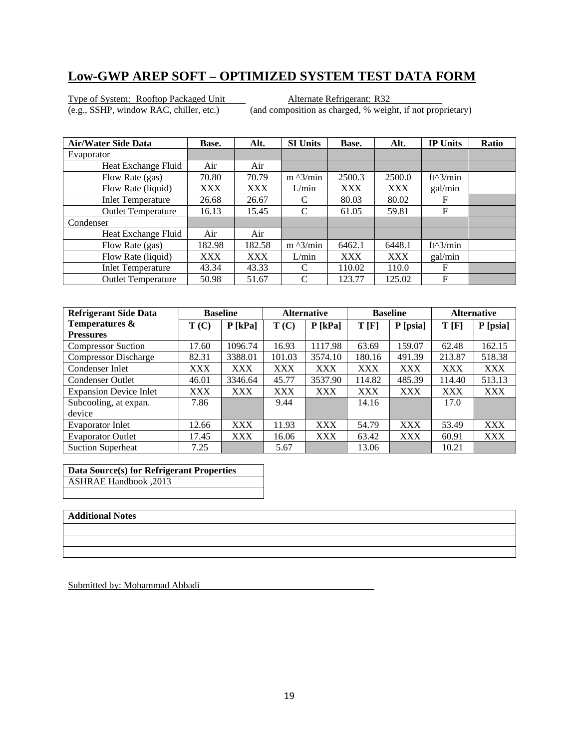Type of System: Rooftop Packaged Unit<br>
(e.g., SSHP, window RAC, chiller, etc.) (and composition as charged, % weight)

(and composition as charged, % weight, if not proprietary)

| <b>Air/Water Side Data</b> | Base.      | Alt.   | <b>SI Units</b>   | Base.      | Alt.       | <b>IP Units</b> | <b>Ratio</b> |
|----------------------------|------------|--------|-------------------|------------|------------|-----------------|--------------|
| Evaporator                 |            |        |                   |            |            |                 |              |
| Heat Exchange Fluid        | Air        | Air    |                   |            |            |                 |              |
| Flow Rate (gas)            | 70.80      | 70.79  | $m \frac{3}{min}$ | 2500.3     | 2500.0     | $ft^3/min$      |              |
| Flow Rate (liquid)         | <b>XXX</b> | XXX    | L/min             | <b>XXX</b> | <b>XXX</b> | gal/min         |              |
| <b>Inlet Temperature</b>   | 26.68      | 26.67  |                   | 80.03      | 80.02      | F               |              |
| <b>Outlet Temperature</b>  | 16.13      | 15.45  | C                 | 61.05      | 59.81      | F               |              |
| Condenser                  |            |        |                   |            |            |                 |              |
| Heat Exchange Fluid        | Air        | Air    |                   |            |            |                 |              |
| Flow Rate (gas)            | 182.98     | 182.58 | $m \lambda$ 3/min | 6462.1     | 6448.1     | $ft^3/min$      |              |
| Flow Rate (liquid)         | <b>XXX</b> | XXX    | L/min             | <b>XXX</b> | <b>XXX</b> | gal/min         |              |
| <b>Inlet Temperature</b>   | 43.34      | 43.33  | C                 | 110.02     | 110.0      | F               |              |
| <b>Outlet Temperature</b>  | 50.98      | 51.67  | C                 | 123.77     | 125.02     | F               |              |

| <b>Refrigerant Side Data</b>  | <b>Baseline</b> |            | <b>Alternative</b> |            | <b>Baseline</b> |            | <b>Alternative</b> |            |
|-------------------------------|-----------------|------------|--------------------|------------|-----------------|------------|--------------------|------------|
| Temperatures &                | T(C)            | $P$ [kPa]  | T(C)               | $P$ [kPa]  | T[F]            | P [psia]   | T[F]               | P [psia]   |
| <b>Pressures</b>              |                 |            |                    |            |                 |            |                    |            |
| <b>Compressor Suction</b>     | 17.60           | 1096.74    | 16.93              | 1117.98    | 63.69           | 159.07     | 62.48              | 162.15     |
| <b>Compressor Discharge</b>   | 82.31           | 3388.01    | 101.03             | 3574.10    | 180.16          | 491.39     | 213.87             | 518.38     |
| Condenser Inlet               | XXX             | <b>XXX</b> | <b>XXX</b>         | <b>XXX</b> | <b>XXX</b>      | <b>XXX</b> | <b>XXX</b>         | <b>XXX</b> |
| <b>Condenser Outlet</b>       | 46.01           | 3346.64    | 45.77              | 3537.90    | 114.82          | 485.39     | 114.40             | 513.13     |
| <b>Expansion Device Inlet</b> | <b>XXX</b>      | <b>XXX</b> | <b>XXX</b>         | <b>XXX</b> | <b>XXX</b>      | <b>XXX</b> | <b>XXX</b>         | <b>XXX</b> |
| Subcooling, at expan.         | 7.86            |            | 9.44               |            | 14.16           |            | 17.0               |            |
| device                        |                 |            |                    |            |                 |            |                    |            |
| Evaporator Inlet              | 12.66           | <b>XXX</b> | 11.93              | <b>XXX</b> | 54.79           | <b>XXX</b> | 53.49              | <b>XXX</b> |
| <b>Evaporator Outlet</b>      | 17.45           | <b>XXX</b> | 16.06              | <b>XXX</b> | 63.42           | <b>XXX</b> | 60.91              | <b>XXX</b> |
| <b>Suction Superheat</b>      | 7.25            |            | 5.67               |            | 13.06           |            | 10.21              |            |

**Data Source(s) for Refrigerant Properties**  ASHRAE Handbook ,2013

#### **Additional Notes**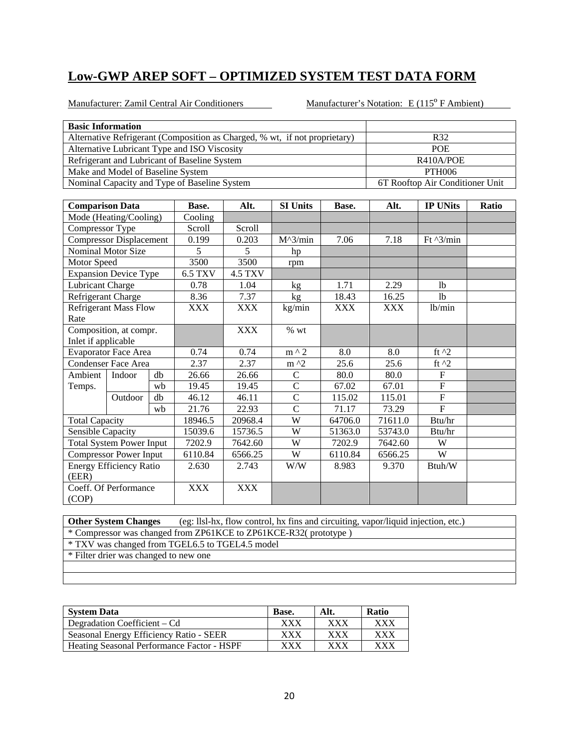Manufacturer: Zamil Central Air Conditioners Manufacturer's Notation: E (115<sup>°</sup> F Ambient)

|                                                                     | <b>Basic Information</b>          |    |                                              |                |                                                                            |            |                                 |                           |  |  |
|---------------------------------------------------------------------|-----------------------------------|----|----------------------------------------------|----------------|----------------------------------------------------------------------------|------------|---------------------------------|---------------------------|--|--|
|                                                                     |                                   |    |                                              |                | Alternative Refrigerant (Composition as Charged, % wt, if not proprietary) |            |                                 | R32                       |  |  |
|                                                                     |                                   |    | Alternative Lubricant Type and ISO Viscosity |                |                                                                            |            | <b>POE</b>                      |                           |  |  |
|                                                                     |                                   |    | Refrigerant and Lubricant of Baseline System |                |                                                                            |            | R410A/POE                       |                           |  |  |
|                                                                     | Make and Model of Baseline System |    |                                              |                |                                                                            |            |                                 | <b>PTH006</b>             |  |  |
| Nominal Capacity and Type of Baseline System                        |                                   |    |                                              |                |                                                                            |            | 6T Rooftop Air Conditioner Unit |                           |  |  |
|                                                                     |                                   |    |                                              |                |                                                                            |            |                                 |                           |  |  |
| <b>Comparison Data</b><br><b>SI Units</b><br>Base.<br>Alt.<br>Base. |                                   |    |                                              |                |                                                                            | Alt.       | <b>IP UNits</b>                 | Ratio                     |  |  |
|                                                                     | Mode (Heating/Cooling)            |    | Cooling                                      |                |                                                                            |            |                                 |                           |  |  |
| Compressor Type                                                     |                                   |    | Scroll                                       | Scroll         |                                                                            |            |                                 |                           |  |  |
|                                                                     | <b>Compressor Displacement</b>    |    | 0.199                                        | 0.203          | $M^3/min$                                                                  | 7.06       | 7.18                            | Ft $\frac{3}{min}$        |  |  |
|                                                                     | Nominal Motor Size                |    | 5                                            | 5              | hp                                                                         |            |                                 |                           |  |  |
| Motor Speed                                                         |                                   |    | 3500                                         | 3500           | rpm                                                                        |            |                                 |                           |  |  |
|                                                                     | <b>Expansion Device Type</b>      |    | <b>6.5 TXV</b>                               | <b>4.5 TXV</b> |                                                                            |            |                                 |                           |  |  |
| <b>Lubricant Charge</b>                                             |                                   |    | 0.78                                         | 1.04           | kg                                                                         | 1.71       | 2.29                            | 1 <sub>b</sub>            |  |  |
| Refrigerant Charge                                                  |                                   |    | 8.36                                         | 7.37           | kg                                                                         | 18.43      | 16.25                           | <sup>1</sup> b            |  |  |
| <b>Refrigerant Mass Flow</b>                                        |                                   |    | <b>XXX</b>                                   | <b>XXX</b>     | kg/min                                                                     | <b>XXX</b> | <b>XXX</b>                      | lb/min                    |  |  |
| Rate                                                                |                                   |    |                                              |                |                                                                            |            |                                 |                           |  |  |
|                                                                     | Composition, at compr.            |    |                                              | <b>XXX</b>     | % wt                                                                       |            |                                 |                           |  |  |
| Inlet if applicable                                                 |                                   |    |                                              |                |                                                                            |            |                                 |                           |  |  |
|                                                                     | Evaporator Face Area              |    | 0.74                                         | 0.74           | $m \wedge 2$                                                               | 8.0        | 8.0                             | ft $^2$                   |  |  |
|                                                                     | <b>Condenser Face Area</b>        |    | 2.37                                         | 2.37           | $m^2$                                                                      | 25.6       | 25.6                            | ft $^2$                   |  |  |
| Ambient                                                             | Indoor                            | db | 26.66                                        | 26.66          | $\mathbf C$                                                                | 80.0       | 80.0                            | $\boldsymbol{\mathrm{F}}$ |  |  |
| Temps.                                                              |                                   | wb | 19.45                                        | 19.45          | $\mathbf C$                                                                | 67.02      | 67.01                           | $\boldsymbol{\mathrm{F}}$ |  |  |
|                                                                     | Outdoor                           | db | 46.12                                        | 46.11          | $\overline{C}$                                                             | 115.02     | 115.01                          | ${\bf F}$                 |  |  |
|                                                                     |                                   | wb | 21.76                                        | 22.93          | $\mathbf C$                                                                | 71.17      | 73.29                           | $\overline{F}$            |  |  |
| <b>Total Capacity</b>                                               |                                   |    | 18946.5                                      | 20968.4        | W                                                                          | 64706.0    | 71611.0                         | Btu/hr                    |  |  |
| <b>Sensible Capacity</b>                                            |                                   |    | 15039.6                                      | 15736.5        | W                                                                          | 51363.0    | 53743.0                         | Btu/hr                    |  |  |
|                                                                     | <b>Total System Power Input</b>   |    | 7202.9                                       | 7642.60        | W                                                                          | 7202.9     | 7642.60                         | W                         |  |  |
|                                                                     | <b>Compressor Power Input</b>     |    | 6110.84                                      | 6566.25        | W                                                                          | 6110.84    | 6566.25                         | W                         |  |  |
|                                                                     | <b>Energy Efficiency Ratio</b>    |    | 2.630                                        | 2.743          | W/W                                                                        | 8.983      | 9.370                           | Btuh/W                    |  |  |
| (EER)                                                               |                                   |    |                                              |                |                                                                            |            |                                 |                           |  |  |
|                                                                     | Coeff. Of Performance             |    | <b>XXX</b>                                   | <b>XXX</b>     |                                                                            |            |                                 |                           |  |  |
| (COP)                                                               |                                   |    |                                              |                |                                                                            |            |                                 |                           |  |  |

**Other System Changes** (eg: llsl-hx, flow control, hx fins and circuiting, vapor/liquid injection, etc.) \* Compressor was changed from ZP61KCE to ZP61KCE-R32( prototype ) \* TXV was changed from TGEL6.5 to TGEL4.5 model

| <b>System Data</b>                         | Base.       | Alt.       | <b>Ratio</b> |
|--------------------------------------------|-------------|------------|--------------|
| Degradation Coefficient – Cd               | ${\rm XXX}$ | XXX        | <b>XXX</b>   |
| Seasonal Energy Efficiency Ratio - SEER    | ${\rm XXX}$ | <b>XXX</b> | XXX          |
| Heating Seasonal Performance Factor - HSPF | ${\rm XXX}$ | xxx        | XXX          |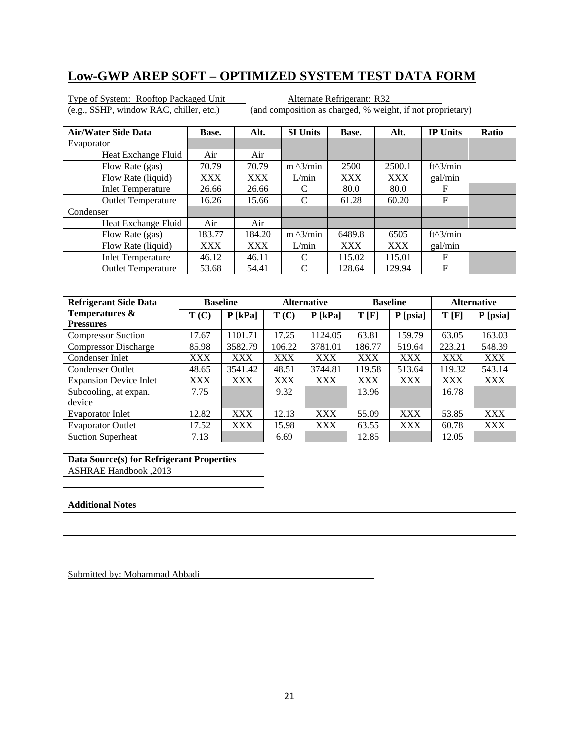Type of System: Rooftop Packaged Unit<br>
(e.g., SSHP, window RAC, chiller, etc.) (and composition as charged, % weight)

(and composition as charged, % weight, if not proprietary)

| <b>Air/Water Side Data</b> | Base.      | Alt.   | <b>SI Units</b>   | Base.      | Alt.       | <b>IP Units</b> | Ratio |
|----------------------------|------------|--------|-------------------|------------|------------|-----------------|-------|
| Evaporator                 |            |        |                   |            |            |                 |       |
| Heat Exchange Fluid        | Air        | Air    |                   |            |            |                 |       |
| Flow Rate (gas)            | 70.79      | 70.79  | $m \frac{3}{min}$ | 2500       | 2500.1     | $ft^3/min$      |       |
| Flow Rate (liquid)         | <b>XXX</b> | XXX    | L/min             | <b>XXX</b> | <b>XXX</b> | gal/min         |       |
| <b>Inlet Temperature</b>   | 26.66      | 26.66  | C                 | 80.0       | 80.0       | F               |       |
| <b>Outlet Temperature</b>  | 16.26      | 15.66  | C                 | 61.28      | 60.20      | F               |       |
| Condenser                  |            |        |                   |            |            |                 |       |
| Heat Exchange Fluid        | Air        | Air    |                   |            |            |                 |       |
| Flow Rate (gas)            | 183.77     | 184.20 | $m \lambda$ 3/min | 6489.8     | 6505       | ft^3/min        |       |
| Flow Rate (liquid)         | <b>XXX</b> | XXX    | L/min             | <b>XXX</b> | <b>XXX</b> | gal/min         |       |
| <b>Inlet Temperature</b>   | 46.12      | 46.11  | C                 | 115.02     | 115.01     | F               |       |
| <b>Outlet Temperature</b>  | 53.68      | 54.41  | C                 | 128.64     | 129.94     | F               |       |

| <b>Refrigerant Side Data</b>  | <b>Baseline</b> |            | <b>Alternative</b> |            | <b>Baseline</b> |            | <b>Alternative</b> |            |
|-------------------------------|-----------------|------------|--------------------|------------|-----------------|------------|--------------------|------------|
| Temperatures &                | T(C)            | $P$ [kPa]  | T(C)               | $P$ [kPa]  | T[F]            | P [psia]   | T[F]               | P [psia]   |
| <b>Pressures</b>              |                 |            |                    |            |                 |            |                    |            |
| <b>Compressor Suction</b>     | 17.67           | 1101.71    | 17.25              | 1124.05    | 63.81           | 159.79     | 63.05              | 163.03     |
| <b>Compressor Discharge</b>   | 85.98           | 3582.79    | 106.22             | 3781.01    | 186.77          | 519.64     | 223.21             | 548.39     |
| Condenser Inlet               | XXX             | <b>XXX</b> | XXX                | <b>XXX</b> | <b>XXX</b>      | <b>XXX</b> | <b>XXX</b>         | <b>XXX</b> |
| <b>Condenser Outlet</b>       | 48.65           | 3541.42    | 48.51              | 3744.81    | 119.58          | 513.64     | 119.32             | 543.14     |
| <b>Expansion Device Inlet</b> | XXX             | <b>XXX</b> | XXX                | <b>XXX</b> | XXX             | <b>XXX</b> | XXX                | XXX        |
| Subcooling, at expan.         | 7.75            |            | 9.32               |            | 13.96           |            | 16.78              |            |
| device                        |                 |            |                    |            |                 |            |                    |            |
| <b>Evaporator Inlet</b>       | 12.82           | <b>XXX</b> | 12.13              | <b>XXX</b> | 55.09           | XXX        | 53.85              | <b>XXX</b> |
| <b>Evaporator Outlet</b>      | 17.52           | <b>XXX</b> | 15.98              | <b>XXX</b> | 63.55           | <b>XXX</b> | 60.78              | <b>XXX</b> |
| <b>Suction Superheat</b>      | 7.13            |            | 6.69               |            | 12.85           |            | 12.05              |            |

**Data Source(s) for Refrigerant Properties**  ASHRAE Handbook ,2013

#### **Additional Notes**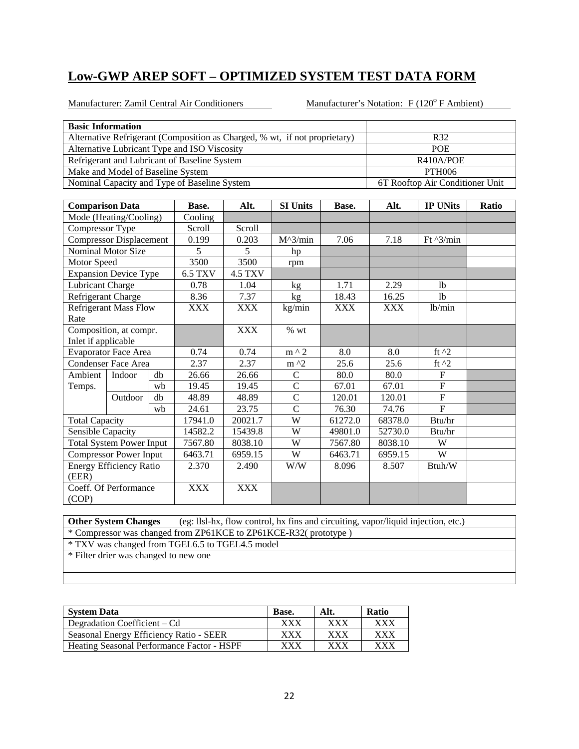Manufacturer: Zamil Central Air Conditioners Manufacturer's Notation: F (120<sup>°</sup> F Ambient)

| <b>Basic Information</b>     |                                   |    |                                              |                |                                                                            |            |            |                                 |       |  |
|------------------------------|-----------------------------------|----|----------------------------------------------|----------------|----------------------------------------------------------------------------|------------|------------|---------------------------------|-------|--|
|                              |                                   |    |                                              |                | Alternative Refrigerant (Composition as Charged, % wt, if not proprietary) |            |            | R32                             |       |  |
|                              |                                   |    | Alternative Lubricant Type and ISO Viscosity |                |                                                                            |            | POE        |                                 |       |  |
|                              |                                   |    | Refrigerant and Lubricant of Baseline System |                |                                                                            |            |            | R410A/POE                       |       |  |
|                              | Make and Model of Baseline System |    |                                              |                |                                                                            |            |            | <b>PTH006</b>                   |       |  |
|                              |                                   |    | Nominal Capacity and Type of Baseline System |                |                                                                            |            |            | 6T Rooftop Air Conditioner Unit |       |  |
|                              |                                   |    |                                              |                |                                                                            |            |            |                                 |       |  |
| <b>Comparison Data</b>       |                                   |    | Base.                                        | Alt.           | <b>SI Units</b>                                                            | Base.      | Alt.       | <b>IP UNits</b>                 | Ratio |  |
|                              | Mode (Heating/Cooling)            |    | Cooling                                      |                |                                                                            |            |            |                                 |       |  |
| Compressor Type              |                                   |    | Scroll                                       | Scroll         |                                                                            |            |            |                                 |       |  |
|                              | <b>Compressor Displacement</b>    |    | 0.199                                        | 0.203          | $M^3/min$                                                                  | 7.06       | 7.18       | Ft $^{3/min}$                   |       |  |
|                              | <b>Nominal Motor Size</b>         |    | 5                                            | 5              | hp                                                                         |            |            |                                 |       |  |
| Motor Speed                  |                                   |    | 3500                                         | 3500           | rpm                                                                        |            |            |                                 |       |  |
|                              | <b>Expansion Device Type</b>      |    | <b>6.5 TXV</b>                               | <b>4.5 TXV</b> |                                                                            |            |            |                                 |       |  |
| <b>Lubricant Charge</b>      |                                   |    | 0.78                                         | 1.04           | kg                                                                         | 1.71       | 2.29       | 1 <sub>b</sub>                  |       |  |
| Refrigerant Charge           |                                   |    | 8.36                                         | 7.37           | kg                                                                         | 18.43      | 16.25      | <sup>1</sup> b                  |       |  |
| <b>Refrigerant Mass Flow</b> |                                   |    | <b>XXX</b>                                   | <b>XXX</b>     | kg/min                                                                     | <b>XXX</b> | <b>XXX</b> | lb/min                          |       |  |
| Rate                         |                                   |    |                                              |                |                                                                            |            |            |                                 |       |  |
|                              | Composition, at compr.            |    |                                              | <b>XXX</b>     | $%$ wt                                                                     |            |            |                                 |       |  |
| Inlet if applicable          |                                   |    |                                              |                |                                                                            |            |            |                                 |       |  |
|                              | <b>Evaporator Face Area</b>       |    | 0.74                                         | 0.74           | $m \wedge 2$                                                               | 8.0        | 8.0        | ft $^2$                         |       |  |
|                              | <b>Condenser Face Area</b>        |    | 2.37                                         | 2.37           | $m^2$                                                                      | 25.6       | 25.6       | ft $^2$                         |       |  |
| Ambient                      | Indoor                            | db | 26.66                                        | 26.66          | $\mathsf{C}$                                                               | 80.0       | 80.0       | $\boldsymbol{\mathrm{F}}$       |       |  |
| Temps.                       |                                   | wb | 19.45                                        | 19.45          | $\mathcal{C}$                                                              | 67.01      | 67.01      | $\mathbf F$                     |       |  |
|                              | Outdoor                           | db | 48.89                                        | 48.89          | $\mathcal{C}$                                                              | 120.01     | 120.01     | ${\bf F}$                       |       |  |
|                              |                                   | wb | 24.61                                        | 23.75          | $\overline{C}$                                                             | 76.30      | 74.76      | $\overline{F}$                  |       |  |
| <b>Total Capacity</b>        |                                   |    | 17941.0                                      | 20021.7        | W                                                                          | 61272.0    | 68378.0    | Btu/hr                          |       |  |
| Sensible Capacity            |                                   |    | 14582.2                                      | 15439.8        | W                                                                          | 49801.0    | 52730.0    | Btu/hr                          |       |  |
|                              | <b>Total System Power Input</b>   |    | 7567.80                                      | 8038.10        | W                                                                          | 7567.80    | 8038.10    | W                               |       |  |
|                              | <b>Compressor Power Input</b>     |    | 6463.71                                      | 6959.15        | W                                                                          | 6463.71    | 6959.15    | $\overline{W}$                  |       |  |
|                              | <b>Energy Efficiency Ratio</b>    |    | 2.370                                        | 2.490          | W/W                                                                        | 8.096      | 8.507      | Btuh/W                          |       |  |
| (EER)                        |                                   |    |                                              |                |                                                                            |            |            |                                 |       |  |
|                              | Coeff. Of Performance             |    | <b>XXX</b>                                   | <b>XXX</b>     |                                                                            |            |            |                                 |       |  |
| (COP)                        |                                   |    |                                              |                |                                                                            |            |            |                                 |       |  |

**Other System Changes** (eg: llsl-hx, flow control, hx fins and circuiting, vapor/liquid injection, etc.) \* Compressor was changed from ZP61KCE to ZP61KCE-R32( prototype )

\* TXV was changed from TGEL6.5 to TGEL4.5 model \* Filter drier was changed to new one

**System Data Base.** Alt. Ratio Degradation Coefficient – Cd XXX XXX XXX Seasonal Energy Efficiency Ratio - SEER XXX XXX XXX Heating Seasonal Performance Factor - HSPF XXX XXX XXX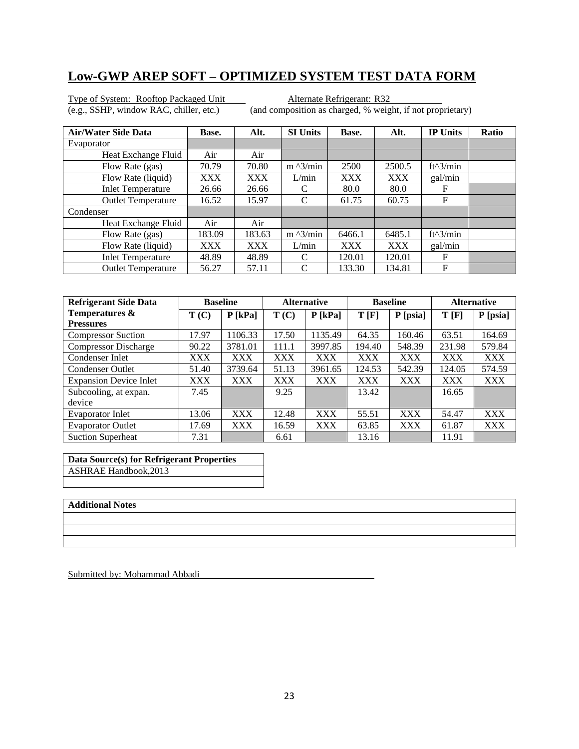Type of System: Rooftop Packaged Unit<br>
(e.g., SSHP, window RAC, chiller, etc.) (and composition as charged, % weight)

(and composition as charged, % weight, if not proprietary)

| <b>Air/Water Side Data</b> | Base.  | Alt.   | <b>SI Units</b>           | Base.      | Alt.       | <b>IP Units</b> | Ratio |
|----------------------------|--------|--------|---------------------------|------------|------------|-----------------|-------|
| Evaporator                 |        |        |                           |            |            |                 |       |
| Heat Exchange Fluid        | Air    | Air    |                           |            |            |                 |       |
| Flow Rate (gas)            | 70.79  | 70.80  | $m \frac{\lambda}{3}$ min | 2500       | 2500.5     | $ft^3/min$      |       |
| Flow Rate (liquid)         | XXX    | XXX    | L/min                     | <b>XXX</b> | XXX        | gal/min         |       |
| <b>Inlet Temperature</b>   | 26.66  | 26.66  | C                         | 80.0       | 80.0       | F               |       |
| <b>Outlet Temperature</b>  | 16.52  | 15.97  | $\mathcal{C}$             | 61.75      | 60.75      | F               |       |
| Condenser                  |        |        |                           |            |            |                 |       |
| Heat Exchange Fluid        | Air    | Air    |                           |            |            |                 |       |
| Flow Rate (gas)            | 183.09 | 183.63 | $m \frac{\lambda}{3}$ min | 6466.1     | 6485.1     | $ft^3/min$      |       |
| Flow Rate (liquid)         | XXX    | XXX    | L/min                     | <b>XXX</b> | <b>XXX</b> | gal/min         |       |
| <b>Inlet Temperature</b>   | 48.89  | 48.89  | C                         | 120.01     | 120.01     | F               |       |
| <b>Outlet Temperature</b>  | 56.27  | 57.11  | C                         | 133.30     | 134.81     | F               |       |

| <b>Refrigerant Side Data</b>  | <b>Baseline</b> |            | <b>Alternative</b> |            | <b>Baseline</b> |            | <b>Alternative</b> |            |
|-------------------------------|-----------------|------------|--------------------|------------|-----------------|------------|--------------------|------------|
| Temperatures &                | T(C)            | $P$ [kPa]  | T(C)               | $P$ [kPa]  | T[F]            | P [psia]   | T[F]               | P [psia]   |
| <b>Pressures</b>              |                 |            |                    |            |                 |            |                    |            |
| <b>Compressor Suction</b>     | 17.97           | 1106.33    | 17.50              | 1135.49    | 64.35           | 160.46     | 63.51              | 164.69     |
| <b>Compressor Discharge</b>   | 90.22           | 3781.01    | 111.1              | 3997.85    | 194.40          | 548.39     | 231.98             | 579.84     |
| Condenser Inlet               | <b>XXX</b>      | <b>XXX</b> | XXX                | <b>XXX</b> | <b>XXX</b>      | <b>XXX</b> | XXX                | <b>XXX</b> |
| <b>Condenser Outlet</b>       | 51.40           | 3739.64    | 51.13              | 3961.65    | 124.53          | 542.39     | 124.05             | 574.59     |
| <b>Expansion Device Inlet</b> | XXX             | <b>XXX</b> | XXX                | <b>XXX</b> | XXX             | <b>XXX</b> | XXX                | XXX        |
| Subcooling, at expan.         | 7.45            |            | 9.25               |            | 13.42           |            | 16.65              |            |
| device                        |                 |            |                    |            |                 |            |                    |            |
| <b>Evaporator Inlet</b>       | 13.06           | <b>XXX</b> | 12.48              | <b>XXX</b> | 55.51           | XXX        | 54.47              | <b>XXX</b> |
| <b>Evaporator Outlet</b>      | 17.69           | <b>XXX</b> | 16.59              | <b>XXX</b> | 63.85           | <b>XXX</b> | 61.87              | <b>XXX</b> |
| <b>Suction Superheat</b>      | 7.31            |            | 6.61               |            | 13.16           |            | 11.91              |            |

**Data Source(s) for Refrigerant Properties**  ASHRAE Handbook,2013

#### **Additional Notes**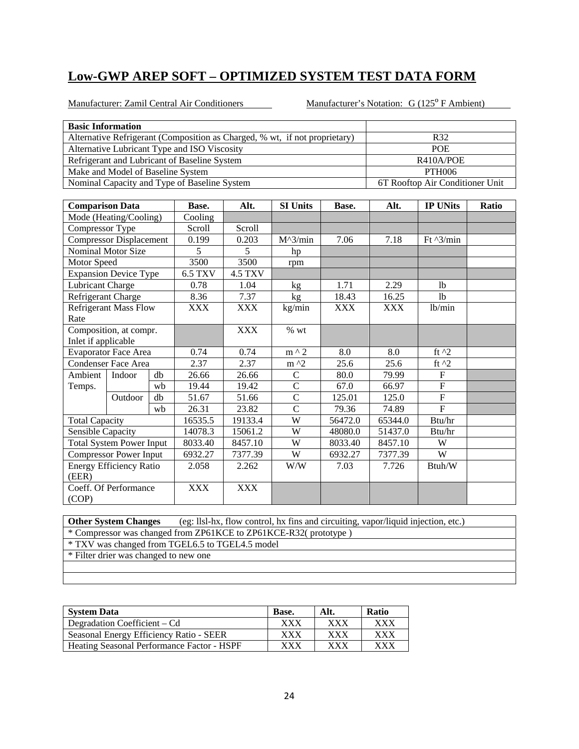Manufacturer: Zamil Central Air Conditioners Manufacturer's Notation: G (125<sup>°</sup> F Ambient)

| <b>Basic Information</b>     |                                              |    |                                              |                |                                                                            |            |            |                                 |       |  |
|------------------------------|----------------------------------------------|----|----------------------------------------------|----------------|----------------------------------------------------------------------------|------------|------------|---------------------------------|-------|--|
|                              |                                              |    |                                              |                | Alternative Refrigerant (Composition as Charged, % wt, if not proprietary) |            |            | R32                             |       |  |
|                              |                                              |    | Alternative Lubricant Type and ISO Viscosity |                |                                                                            |            | <b>POE</b> |                                 |       |  |
|                              |                                              |    | Refrigerant and Lubricant of Baseline System |                |                                                                            |            | R410A/POE  |                                 |       |  |
|                              | Make and Model of Baseline System            |    |                                              |                | <b>PTH006</b>                                                              |            |            |                                 |       |  |
|                              | Nominal Capacity and Type of Baseline System |    |                                              |                |                                                                            |            |            | 6T Rooftop Air Conditioner Unit |       |  |
|                              |                                              |    |                                              |                |                                                                            |            |            |                                 |       |  |
| <b>Comparison Data</b>       |                                              |    | Base.                                        | Alt.           | <b>SI Units</b>                                                            | Base.      | Alt.       | <b>IP UNits</b>                 | Ratio |  |
|                              | Mode (Heating/Cooling)                       |    | Cooling                                      |                |                                                                            |            |            |                                 |       |  |
| Compressor Type              |                                              |    | Scroll                                       | Scroll         |                                                                            |            |            |                                 |       |  |
|                              | <b>Compressor Displacement</b>               |    | 0.199                                        | 0.203          | $M^3/min$                                                                  | 7.06       | 7.18       | Ft $^{3/min}$                   |       |  |
|                              | Nominal Motor Size                           |    | 5                                            | 5              | hp                                                                         |            |            |                                 |       |  |
| Motor Speed                  |                                              |    | 3500                                         | 3500           | rpm                                                                        |            |            |                                 |       |  |
| <b>Expansion Device Type</b> |                                              |    | <b>6.5 TXV</b>                               | <b>4.5 TXV</b> |                                                                            |            |            |                                 |       |  |
| Lubricant Charge             |                                              |    | 0.78                                         | 1.04           | kg                                                                         | 1.71       | 2.29       | 1 <sub>b</sub>                  |       |  |
| Refrigerant Charge           |                                              |    | 8.36                                         | 7.37           | kg                                                                         | 18.43      | 16.25      | <sup>1</sup> b                  |       |  |
| <b>Refrigerant Mass Flow</b> |                                              |    | <b>XXX</b>                                   | <b>XXX</b>     | kg/min                                                                     | <b>XXX</b> | <b>XXX</b> | lb/min                          |       |  |
| Rate                         |                                              |    |                                              |                |                                                                            |            |            |                                 |       |  |
|                              | Composition, at compr.                       |    |                                              | <b>XXX</b>     | % wt                                                                       |            |            |                                 |       |  |
| Inlet if applicable          |                                              |    |                                              |                |                                                                            |            |            |                                 |       |  |
|                              | <b>Evaporator Face Area</b>                  |    | 0.74                                         | 0.74           | $m \wedge 2$                                                               | 8.0        | 8.0        | ft $^2$                         |       |  |
|                              | <b>Condenser Face Area</b>                   |    | 2.37                                         | 2.37           | $m \lambda$                                                                | 25.6       | 25.6       | ft $^{\wedge}2$                 |       |  |
| Ambient                      | Indoor                                       | db | 26.66                                        | 26.66          | $\mathsf{C}$                                                               | 80.0       | 79.99      | $\boldsymbol{\mathrm{F}}$       |       |  |
| Temps.                       |                                              | wb | 19.44                                        | 19.42          | $\overline{C}$                                                             | 67.0       | 66.97      | $\overline{F}$                  |       |  |
|                              | Outdoor                                      | db | 51.67                                        | 51.66          | $\overline{C}$                                                             | 125.01     | 125.0      | $\overline{F}$                  |       |  |
|                              |                                              | wb | 26.31                                        | 23.82          | $\overline{C}$                                                             | 79.36      | 74.89      | $\overline{F}$                  |       |  |
| <b>Total Capacity</b>        |                                              |    | 16535.5                                      | 19133.4        | W                                                                          | 56472.0    | 65344.0    | Btu/hr                          |       |  |
| Sensible Capacity            |                                              |    | 14078.3                                      | 15061.2        | W                                                                          | 48080.0    | 51437.0    | Btu/hr                          |       |  |
|                              | <b>Total System Power Input</b>              |    | 8033.40                                      | 8457.10        | W                                                                          | 8033.40    | 8457.10    | W                               |       |  |
|                              | <b>Compressor Power Input</b>                |    | 6932.27                                      | 7377.39        | W                                                                          | 6932.27    | 7377.39    | W                               |       |  |
|                              | <b>Energy Efficiency Ratio</b>               |    | 2.058                                        | 2.262          | W/W                                                                        | 7.03       | 7.726      | Btuh/W                          |       |  |
| (EER)                        |                                              |    |                                              |                |                                                                            |            |            |                                 |       |  |
|                              | Coeff. Of Performance                        |    | <b>XXX</b>                                   | <b>XXX</b>     |                                                                            |            |            |                                 |       |  |
| (COP)                        |                                              |    |                                              |                |                                                                            |            |            |                                 |       |  |

**Other System Changes** (eg: llsl-hx, flow control, hx fins and circuiting, vapor/liquid injection, etc.) \* Compressor was changed from ZP61KCE to ZP61KCE-R32( prototype )

\* TXV was changed from TGEL6.5 to TGEL4.5 model

| <b>System Data</b>                                | Base.       | Alt. | <b>Ratio</b> |
|---------------------------------------------------|-------------|------|--------------|
| Degradation Coefficient – Cd                      | xxx         | XXX  | <b>XXX</b>   |
| Seasonal Energy Efficiency Ratio - SEER           | ${\rm XXX}$ | XXX  | XXX          |
| <b>Heating Seasonal Performance Factor - HSPF</b> | ${\rm XXX}$ | xxx  | xxx          |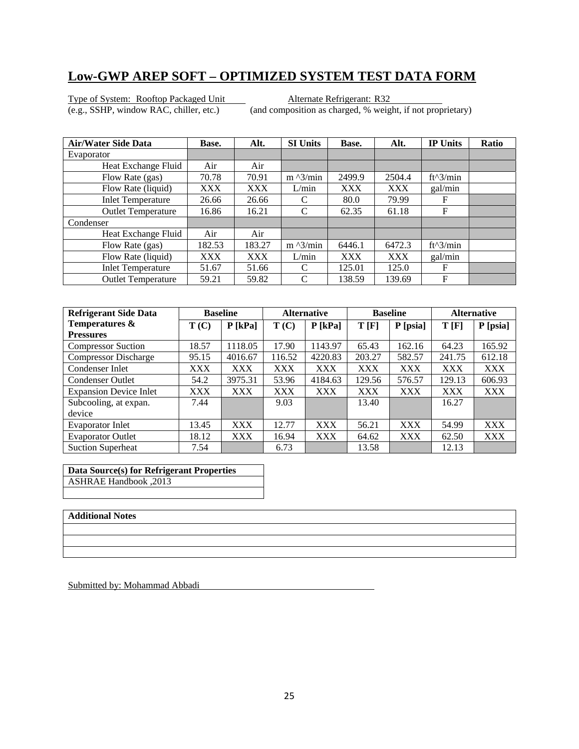Type of System: Rooftop Packaged Unit<br>
(e.g., SSHP, window RAC, chiller, etc.) (and composition as charged, % weight)

(and composition as charged, % weight, if not proprietary)

| <b>Air/Water Side Data</b> | Base.      | Alt.       | <b>SI Units</b>           | Base.      | Alt.       | <b>IP Units</b> | <b>Ratio</b> |
|----------------------------|------------|------------|---------------------------|------------|------------|-----------------|--------------|
| Evaporator                 |            |            |                           |            |            |                 |              |
| Heat Exchange Fluid        | Air        | Air        |                           |            |            |                 |              |
| Flow Rate (gas)            | 70.78      | 70.91      | $m \frac{\lambda}{3}$ min | 2499.9     | 2504.4     | $ft^3/min$      |              |
| Flow Rate (liquid)         | <b>XXX</b> | XXX        | L/min                     | XXX        | <b>XXX</b> | gal/min         |              |
| <b>Inlet Temperature</b>   | 26.66      | 26.66      | C                         | 80.0       | 79.99      | F               |              |
| <b>Outlet Temperature</b>  | 16.86      | 16.21      | C                         | 62.35      | 61.18      | F               |              |
| Condenser                  |            |            |                           |            |            |                 |              |
| Heat Exchange Fluid        | Air        | Air        |                           |            |            |                 |              |
| Flow Rate (gas)            | 182.53     | 183.27     | $m \frac{\lambda}{3}$ min | 6446.1     | 6472.3     | $ft^3/min$      |              |
| Flow Rate (liquid)         | <b>XXX</b> | <b>XXX</b> | L/min                     | <b>XXX</b> | <b>XXX</b> | gal/min         |              |
| <b>Inlet Temperature</b>   | 51.67      | 51.66      | C                         | 125.01     | 125.0      | F               |              |
| <b>Outlet Temperature</b>  | 59.21      | 59.82      | C                         | 138.59     | 139.69     | F               |              |

| <b>Refrigerant Side Data</b>  |       | <b>Baseline</b> |            | <b>Alternative</b> |        | <b>Baseline</b> | <b>Alternative</b> |            |
|-------------------------------|-------|-----------------|------------|--------------------|--------|-----------------|--------------------|------------|
| Temperatures &                | T(C)  | $P$ [kPa]       | T(C)       | $P$ [kPa]          | T[F]   | P [psia]        | T[F]               | P [psia]   |
| <b>Pressures</b>              |       |                 |            |                    |        |                 |                    |            |
| <b>Compressor Suction</b>     | 18.57 | 1118.05         | 17.90      | 1143.97            | 65.43  | 162.16          | 64.23              | 165.92     |
| <b>Compressor Discharge</b>   | 95.15 | 4016.67         | 116.52     | 4220.83            | 203.27 | 582.57          | 241.75             | 612.18     |
| Condenser Inlet               | XXX   | <b>XXX</b>      | XXX        | <b>XXX</b>         | XXX    | <b>XXX</b>      | <b>XXX</b>         | <b>XXX</b> |
| <b>Condenser Outlet</b>       | 54.2  | 3975.31         | 53.96      | 4184.63            | 129.56 | 576.57          | 129.13             | 606.93     |
| <b>Expansion Device Inlet</b> | XXX   | <b>XXX</b>      | <b>XXX</b> | <b>XXX</b>         | XXX    | XXX             | <b>XXX</b>         | <b>XXX</b> |
| Subcooling, at expan.         | 7.44  |                 | 9.03       |                    | 13.40  |                 | 16.27              |            |
| device                        |       |                 |            |                    |        |                 |                    |            |
| <b>Evaporator Inlet</b>       | 13.45 | <b>XXX</b>      | 12.77      | <b>XXX</b>         | 56.21  | <b>XXX</b>      | 54.99              | <b>XXX</b> |
| <b>Evaporator Outlet</b>      | 18.12 | <b>XXX</b>      | 16.94      | <b>XXX</b>         | 64.62  | <b>XXX</b>      | 62.50              | XXX        |
| <b>Suction Superheat</b>      | 7.54  |                 | 6.73       |                    | 13.58  |                 | 12.13              |            |

**Data Source(s) for Refrigerant Properties**  ASHRAE Handbook ,2013

#### **Additional Notes**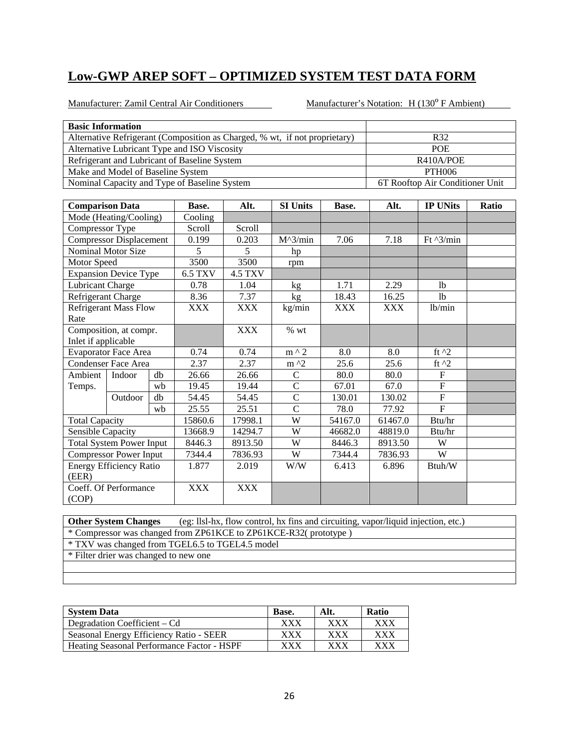Manufacturer: Zamil Central Air Conditioners Manufacturer's Notation: H (130° F Ambient)

| <b>Basic Information</b>     |                                              |      |                                              |                |                                                                            |            |                |                                 |       |  |
|------------------------------|----------------------------------------------|------|----------------------------------------------|----------------|----------------------------------------------------------------------------|------------|----------------|---------------------------------|-------|--|
|                              |                                              |      |                                              |                | Alternative Refrigerant (Composition as Charged, % wt, if not proprietary) |            |                | R32                             |       |  |
|                              |                                              |      | Alternative Lubricant Type and ISO Viscosity |                |                                                                            |            | POE            |                                 |       |  |
|                              |                                              |      | Refrigerant and Lubricant of Baseline System |                |                                                                            |            | R410A/POE      |                                 |       |  |
|                              | Make and Model of Baseline System            |      |                                              |                |                                                                            |            |                | <b>PTH006</b>                   |       |  |
|                              | Nominal Capacity and Type of Baseline System |      |                                              |                |                                                                            |            |                | 6T Rooftop Air Conditioner Unit |       |  |
|                              |                                              |      |                                              |                |                                                                            |            |                |                                 |       |  |
| <b>Comparison Data</b>       |                                              |      | Base.                                        | Alt.           | <b>SI Units</b>                                                            | Base.      | Alt.           | <b>IP UNits</b>                 | Ratio |  |
|                              | Mode (Heating/Cooling)                       |      | Cooling                                      |                |                                                                            |            |                |                                 |       |  |
| Compressor Type              |                                              |      | Scroll                                       | Scroll         |                                                                            |            |                |                                 |       |  |
|                              | <b>Compressor Displacement</b>               |      | 0.199                                        | 0.203          | $M^{\wedge}3/min$                                                          | 7.06       | 7.18           | Ft $\frac{3}{min}$              |       |  |
|                              | <b>Nominal Motor Size</b>                    |      | 5                                            | 5              | hp                                                                         |            |                |                                 |       |  |
| Motor Speed                  |                                              |      | 3500                                         | 3500           | rpm                                                                        |            |                |                                 |       |  |
|                              | <b>Expansion Device Type</b>                 |      | 6.5 TXV                                      | <b>4.5 TXV</b> |                                                                            |            |                |                                 |       |  |
| Lubricant Charge             |                                              | 0.78 | 1.04                                         | kg             | 1.71                                                                       | 2.29       | <sup>1</sup> b |                                 |       |  |
| Refrigerant Charge           |                                              |      | 8.36                                         | 7.37           | kg                                                                         | 18.43      | 16.25          | <sup>1</sup> b                  |       |  |
| <b>Refrigerant Mass Flow</b> |                                              |      | <b>XXX</b>                                   | <b>XXX</b>     | kg/min                                                                     | <b>XXX</b> | <b>XXX</b>     | lb/min                          |       |  |
| Rate                         |                                              |      |                                              |                |                                                                            |            |                |                                 |       |  |
|                              | Composition, at compr.                       |      |                                              | <b>XXX</b>     | $%$ wt                                                                     |            |                |                                 |       |  |
| Inlet if applicable          |                                              |      |                                              |                |                                                                            |            |                |                                 |       |  |
|                              | <b>Evaporator Face Area</b>                  |      | 0.74                                         | 0.74           | $m \wedge 2$                                                               | 8.0        | 8.0            | ft $^2$                         |       |  |
|                              | <b>Condenser Face Area</b>                   |      | 2.37                                         | 2.37           | $m^2$                                                                      | 25.6       | 25.6           | ft $^2$                         |       |  |
| Ambient                      | Indoor                                       | db   | 26.66                                        | 26.66          | $\overline{C}$                                                             | 80.0       | 80.0           | $\overline{F}$                  |       |  |
| Temps.                       |                                              | wb   | 19.45                                        | 19.44          | $\overline{C}$                                                             | 67.01      | 67.0           | $\mathbf F$                     |       |  |
|                              | Outdoor                                      | db   | 54.45                                        | 54.45          | $\overline{C}$                                                             | 130.01     | 130.02         | ${\bf F}$                       |       |  |
|                              |                                              | wb   | 25.55                                        | 25.51          | $\overline{C}$                                                             | 78.0       | 77.92          | $\overline{F}$                  |       |  |
| <b>Total Capacity</b>        |                                              |      | 15860.6                                      | 17998.1        | W                                                                          | 54167.0    | 61467.0        | Btu/hr                          |       |  |
| Sensible Capacity            |                                              |      | 13668.9                                      | 14294.7        | W                                                                          | 46682.0    | 48819.0        | Btu/hr                          |       |  |
|                              | <b>Total System Power Input</b>              |      | 8446.3                                       | 8913.50        | W                                                                          | 8446.3     | 8913.50        | W                               |       |  |
|                              | <b>Compressor Power Input</b>                |      | 7344.4                                       | 7836.93        | W                                                                          | 7344.4     | 7836.93        | W                               |       |  |
|                              | <b>Energy Efficiency Ratio</b>               |      | 1.877                                        | 2.019          | W/W                                                                        | 6.413      | 6.896          | Btuh/W                          |       |  |
| (EER)                        |                                              |      |                                              |                |                                                                            |            |                |                                 |       |  |
|                              | Coeff. Of Performance                        |      | <b>XXX</b>                                   | <b>XXX</b>     |                                                                            |            |                |                                 |       |  |
| (COP)                        |                                              |      |                                              |                |                                                                            |            |                |                                 |       |  |

**Other System Changes** (eg: llsl-hx, flow control, hx fins and circuiting, vapor/liquid injection, etc.) \* Compressor was changed from ZP61KCE to ZP61KCE-R32( prototype ) \* TXV was changed from TGEL6.5 to TGEL4.5 model

| <b>System Data</b>                         | Base.       | Alt. | <b>Ratio</b> |
|--------------------------------------------|-------------|------|--------------|
| Degradation Coefficient – Cd               | ${\rm XXX}$ | xxx  | xxx          |
| Seasonal Energy Efficiency Ratio - SEER    | ${\rm XXX}$ | xxx  | XXX          |
| Heating Seasonal Performance Factor - HSPF | ${\rm XXX}$ | xxx  | XXX          |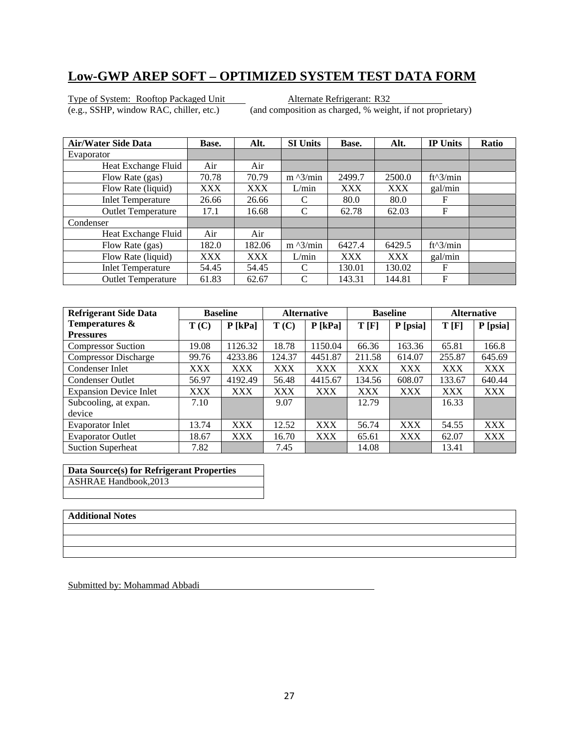Type of System: Rooftop Packaged Unit<br>
(e.g., SSHP, window RAC, chiller, etc.) (and composition as charged, % weight)

(and composition as charged, % weight, if not proprietary)

| <b>Air/Water Side Data</b> | Base.      | Alt.   | <b>SI Units</b>   | Base.      | Alt.       | <b>IP Units</b> | Ratio |
|----------------------------|------------|--------|-------------------|------------|------------|-----------------|-------|
| Evaporator                 |            |        |                   |            |            |                 |       |
| Heat Exchange Fluid        | Air        | Air    |                   |            |            |                 |       |
| Flow Rate (gas)            | 70.78      | 70.79  | $m \frac{3}{min}$ | 2499.7     | 2500.0     | $ft^3/min$      |       |
| Flow Rate (liquid)         | <b>XXX</b> | XXX    | L/min             | XXX        | <b>XXX</b> | gal/min         |       |
| <b>Inlet Temperature</b>   | 26.66      | 26.66  |                   | 80.0       | 80.0       | F               |       |
| <b>Outlet Temperature</b>  | 17.1       | 16.68  | C                 | 62.78      | 62.03      | F               |       |
| Condenser                  |            |        |                   |            |            |                 |       |
| Heat Exchange Fluid        | Air        | Air    |                   |            |            |                 |       |
| Flow Rate (gas)            | 182.0      | 182.06 | $m \frac{3}{min}$ | 6427.4     | 6429.5     | $ft^3/min$      |       |
| Flow Rate (liquid)         | <b>XXX</b> | XXX    | L/min             | <b>XXX</b> | <b>XXX</b> | gal/min         |       |
| <b>Inlet Temperature</b>   | 54.45      | 54.45  | C                 | 130.01     | 130.02     | F               |       |
| <b>Outlet Temperature</b>  | 61.83      | 62.67  | C                 | 143.31     | 144.81     | F               |       |

| <b>Refrigerant Side Data</b>  |            | <b>Baseline</b> |        | <b>Alternative</b> |            | <b>Baseline</b> | <b>Alternative</b> |            |
|-------------------------------|------------|-----------------|--------|--------------------|------------|-----------------|--------------------|------------|
| Temperatures &                | T(C)       | $P$ [kPa]       | T(C)   | $P$ [kPa]          | T[F]       | P [psia]        | T[F]               | P [psia]   |
| <b>Pressures</b>              |            |                 |        |                    |            |                 |                    |            |
| <b>Compressor Suction</b>     | 19.08      | 1126.32         | 18.78  | 1150.04            | 66.36      | 163.36          | 65.81              | 166.8      |
| <b>Compressor Discharge</b>   | 99.76      | 4233.86         | 124.37 | 4451.87            | 211.58     | 614.07          | 255.87             | 645.69     |
| Condenser Inlet               | <b>XXX</b> | <b>XXX</b>      | XXX    | <b>XXX</b>         | XXX        | <b>XXX</b>      | <b>XXX</b>         | XXX        |
| <b>Condenser Outlet</b>       | 56.97      | 4192.49         | 56.48  | 4415.67            | 134.56     | 608.07          | 133.67             | 640.44     |
| <b>Expansion Device Inlet</b> | <b>XXX</b> | <b>XXX</b>      | XXX    | <b>XXX</b>         | <b>XXX</b> | <b>XXX</b>      | <b>XXX</b>         | <b>XXX</b> |
| Subcooling, at expan.         | 7.10       |                 | 9.07   |                    | 12.79      |                 | 16.33              |            |
| device                        |            |                 |        |                    |            |                 |                    |            |
| Evaporator Inlet              | 13.74      | <b>XXX</b>      | 12.52  | <b>XXX</b>         | 56.74      | <b>XXX</b>      | 54.55              | <b>XXX</b> |
| <b>Evaporator Outlet</b>      | 18.67      | <b>XXX</b>      | 16.70  | <b>XXX</b>         | 65.61      | <b>XXX</b>      | 62.07              | <b>XXX</b> |
| <b>Suction Superheat</b>      | 7.82       |                 | 7.45   |                    | 14.08      |                 | 13.41              |            |

**Data Source(s) for Refrigerant Properties**  ASHRAE Handbook,2013

#### **Additional Notes**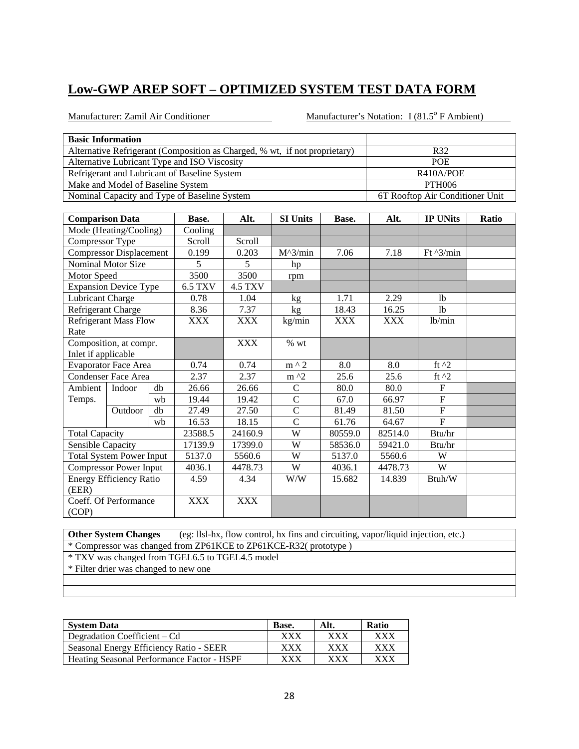Manufacturer: Zamil Air Conditioner Manufacturer's Notation: I (81.5<sup>°</sup> F Ambient)

| <b>Basic Information</b>                                                   |                                 |
|----------------------------------------------------------------------------|---------------------------------|
| Alternative Refrigerant (Composition as Charged, % wt, if not proprietary) | R32                             |
| Alternative Lubricant Type and ISO Viscosity                               | <b>POE</b>                      |
| Refrigerant and Lubricant of Baseline System                               | R410A/POE                       |
| Make and Model of Baseline System                                          | <b>PTH006</b>                   |
| Nominal Capacity and Type of Baseline System                               | 6T Rooftop Air Conditioner Unit |

| <b>Comparison Data</b> |                                 |    | Base.          | Alt.           | <b>SI Units</b>   | Base.      | Alt.       | <b>IP UNits</b>    | Ratio |
|------------------------|---------------------------------|----|----------------|----------------|-------------------|------------|------------|--------------------|-------|
|                        | Mode (Heating/Cooling)          |    | Cooling        |                |                   |            |            |                    |       |
| Compressor Type        |                                 |    | Scroll         | Scroll         |                   |            |            |                    |       |
|                        | <b>Compressor Displacement</b>  |    | 0.199          | 0.203          | $M^{\wedge}3/min$ | 7.06       | 7.18       | Ft $\frac{3}{min}$ |       |
|                        | Nominal Motor Size              |    | 5              | 5              | hp                |            |            |                    |       |
| Motor Speed            |                                 |    | 3500           | 3500           | rpm               |            |            |                    |       |
|                        | <b>Expansion Device Type</b>    |    | <b>6.5 TXV</b> | <b>4.5 TXV</b> |                   |            |            |                    |       |
| Lubricant Charge       |                                 |    | 0.78           | 1.04           | kg                | 1.71       | 2.29       | 1 <sub>b</sub>     |       |
| Refrigerant Charge     |                                 |    | 8.36           | 7.37           | kg                | 18.43      | 16.25      | <sup>1</sup> b     |       |
|                        | <b>Refrigerant Mass Flow</b>    |    | <b>XXX</b>     | <b>XXX</b>     | kg/min            | <b>XXX</b> | <b>XXX</b> | lb/min             |       |
| Rate                   |                                 |    |                |                |                   |            |            |                    |       |
| Composition, at compr. |                                 |    |                | <b>XXX</b>     | % wt              |            |            |                    |       |
| Inlet if applicable    |                                 |    |                |                |                   |            |            |                    |       |
|                        | <b>Evaporator Face Area</b>     |    | 0.74           | 0.74           | $m \wedge 2$      | 8.0        | 8.0        | ft $^2$            |       |
|                        | <b>Condenser Face Area</b>      |    | 2.37           | 2.37           | $m \lambda$       | 25.6       | 25.6       | ft $^2$            |       |
| Ambient                | Indoor                          | db | 26.66          | 26.66          | $\mathsf{C}$      | 80.0       | 80.0       | ${\bf F}$          |       |
| Temps.                 |                                 | wb | 19.44          | 19.42          | $\mathcal{C}$     | 67.0       | 66.97      | ${\bf F}$          |       |
|                        | Outdoor                         | db | 27.49          | 27.50          | $\mathcal{C}$     | 81.49      | 81.50      | ${\bf F}$          |       |
|                        |                                 | wh | 16.53          | 18.15          | $\overline{C}$    | 61.76      | 64.67      | $\mathbf F$        |       |
| <b>Total Capacity</b>  |                                 |    | 23588.5        | 24160.9        | W                 | 80559.0    | 82514.0    | Btu/hr             |       |
| Sensible Capacity      |                                 |    | 17139.9        | 17399.0        | W                 | 58536.0    | 59421.0    | Btu/hr             |       |
|                        | <b>Total System Power Input</b> |    | 5137.0         | 5560.6         | W                 | 5137.0     | 5560.6     | W                  |       |
|                        | <b>Compressor Power Input</b>   |    | 4036.1         | 4478.73        | W                 | 4036.1     | 4478.73    | W                  |       |
|                        | <b>Energy Efficiency Ratio</b>  |    | 4.59           | 4.34           | W/W               | 15.682     | 14.839     | Btuh/W             |       |
| (EER)                  |                                 |    |                |                |                   |            |            |                    |       |
|                        | Coeff. Of Performance           |    | <b>XXX</b>     | <b>XXX</b>     |                   |            |            |                    |       |
| (COP)                  |                                 |    |                |                |                   |            |            |                    |       |

**Other System Changes** (eg: llsl-hx, flow control, hx fins and circuiting, vapor/liquid injection, etc.) \* Compressor was changed from ZP61KCE to ZP61KCE-R32( prototype ) \* TXV was changed from TGEL6.5 to TGEL4.5 model \* Filter drier was changed to new one

| <b>System Data</b>                         | Base.       | Alt. | <b>Ratio</b> |
|--------------------------------------------|-------------|------|--------------|
| Degradation Coefficient – Cd               | xxx         | xxx  | xxx          |
| Seasonal Energy Efficiency Ratio - SEER    | XXX         | xxx  | xxx          |
| Heating Seasonal Performance Factor - HSPF | ${\rm XXX}$ | xxx  | ${\bf XXX}$  |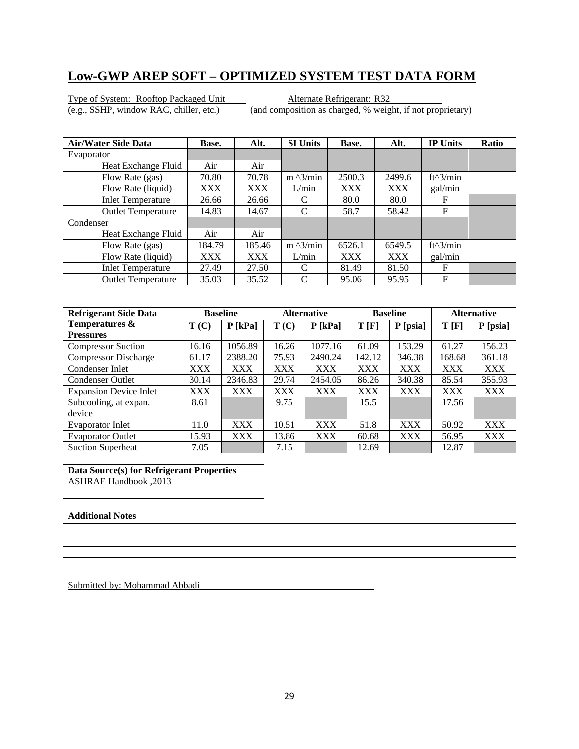Type of System: Rooftop Packaged Unit<br>
(e.g., SSHP, window RAC, chiller, etc.) (and composition as charged, % weight)

(and composition as charged, % weight, if not proprietary)

| <b>Air/Water Side Data</b> | Base.      | Alt.   | <b>SI Units</b>   | Base.      | Alt.       | <b>IP Units</b> | <b>Ratio</b> |
|----------------------------|------------|--------|-------------------|------------|------------|-----------------|--------------|
| Evaporator                 |            |        |                   |            |            |                 |              |
| Heat Exchange Fluid        | Air        | Air    |                   |            |            |                 |              |
| Flow Rate (gas)            | 70.80      | 70.78  | $m \frac{3}{min}$ | 2500.3     | 2499.6     | $ft^3/min$      |              |
| Flow Rate (liquid)         | <b>XXX</b> | XXX    | L/min             | <b>XXX</b> | <b>XXX</b> | gal/min         |              |
| <b>Inlet Temperature</b>   | 26.66      | 26.66  | C                 | 80.0       | 80.0       | F               |              |
| <b>Outlet Temperature</b>  | 14.83      | 14.67  | C                 | 58.7       | 58.42      | F               |              |
| Condenser                  |            |        |                   |            |            |                 |              |
| Heat Exchange Fluid        | Air        | Air    |                   |            |            |                 |              |
| Flow Rate (gas)            | 184.79     | 185.46 | $m \lambda$ 3/min | 6526.1     | 6549.5     | $ft^3/min$      |              |
| Flow Rate (liquid)         | <b>XXX</b> | XXX    | L/min             | <b>XXX</b> | <b>XXX</b> | gal/min         |              |
| <b>Inlet Temperature</b>   | 27.49      | 27.50  | C                 | 81.49      | 81.50      | F               |              |
| <b>Outlet Temperature</b>  | 35.03      | 35.52  | C                 | 95.06      | 95.95      | F               |              |

| <b>Refrigerant Side Data</b>  |            | <b>Baseline</b> | <b>Alternative</b> |            | <b>Baseline</b> |            | <b>Alternative</b> |            |
|-------------------------------|------------|-----------------|--------------------|------------|-----------------|------------|--------------------|------------|
| Temperatures &                | T(C)       | $P$ [kPa]       | T(C)               | $P$ [kPa]  | T[F]            | P [psia]   | T[F]               | P [psia]   |
| <b>Pressures</b>              |            |                 |                    |            |                 |            |                    |            |
| <b>Compressor Suction</b>     | 16.16      | 1056.89         | 16.26              | 1077.16    | 61.09           | 153.29     | 61.27              | 156.23     |
| <b>Compressor Discharge</b>   | 61.17      | 2388.20         | 75.93              | 2490.24    | 142.12          | 346.38     | 168.68             | 361.18     |
| Condenser Inlet               | XXX        | <b>XXX</b>      | <b>XXX</b>         | <b>XXX</b> | XXX             | <b>XXX</b> | <b>XXX</b>         | <b>XXX</b> |
| <b>Condenser Outlet</b>       | 30.14      | 2346.83         | 29.74              | 2454.05    | 86.26           | 340.38     | 85.54              | 355.93     |
| <b>Expansion Device Inlet</b> | <b>XXX</b> | <b>XXX</b>      | <b>XXX</b>         | <b>XXX</b> | <b>XXX</b>      | <b>XXX</b> | <b>XXX</b>         | <b>XXX</b> |
| Subcooling, at expan.         | 8.61       |                 | 9.75               |            | 15.5            |            | 17.56              |            |
| device                        |            |                 |                    |            |                 |            |                    |            |
| Evaporator Inlet              | 11.0       | <b>XXX</b>      | 10.51              | <b>XXX</b> | 51.8            | <b>XXX</b> | 50.92              | <b>XXX</b> |
| <b>Evaporator Outlet</b>      | 15.93      | <b>XXX</b>      | 13.86              | <b>XXX</b> | 60.68           | <b>XXX</b> | 56.95              | <b>XXX</b> |
| <b>Suction Superheat</b>      | 7.05       |                 | 7.15               |            | 12.69           |            | 12.87              |            |

**Data Source(s) for Refrigerant Properties**  ASHRAE Handbook ,2013

#### **Additional Notes**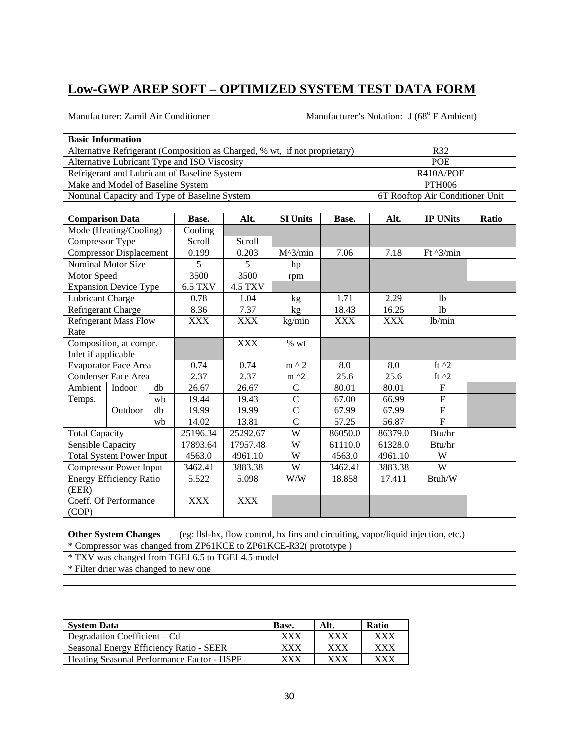Manufacturer: Zamil Air Conditioner Manufacturer's Notation: J (68<sup>°</sup> F Ambient)

| <b>Basic Information</b>                                                   |                                 |
|----------------------------------------------------------------------------|---------------------------------|
| Alternative Refrigerant (Composition as Charged, % wt, if not proprietary) | R32                             |
| Alternative Lubricant Type and ISO Viscosity                               | <b>POE</b>                      |
| Refrigerant and Lubricant of Baseline System                               | R410A/POE                       |
| Make and Model of Baseline System                                          | <b>PTH006</b>                   |
| Nominal Capacity and Type of Baseline System                               | 6T Rooftop Air Conditioner Unit |

| <b>Comparison Data</b> |                                 |    | Base.          | Alt.           | <b>SI Units</b>   | Base.      | Alt.       | <b>IP UNits</b>    | Ratio |
|------------------------|---------------------------------|----|----------------|----------------|-------------------|------------|------------|--------------------|-------|
|                        | Mode (Heating/Cooling)          |    | Cooling        |                |                   |            |            |                    |       |
| Compressor Type        |                                 |    | Scroll         | Scroll         |                   |            |            |                    |       |
|                        | <b>Compressor Displacement</b>  |    | 0.199          | 0.203          | $M^{\wedge}3/min$ | 7.06       | 7.18       | Ft $\frac{3}{min}$ |       |
|                        | Nominal Motor Size              |    | 5              | 5              | hp                |            |            |                    |       |
| Motor Speed            |                                 |    | 3500           | 3500           | rpm               |            |            |                    |       |
|                        | <b>Expansion Device Type</b>    |    | <b>6.5 TXV</b> | <b>4.5 TXV</b> |                   |            |            |                    |       |
| Lubricant Charge       |                                 |    | 0.78           | 1.04           | kg                | 1.71       | 2.29       | <sup>1</sup> b     |       |
| Refrigerant Charge     |                                 |    | 8.36           | 7.37           | kg                | 18.43      | 16.25      | lb                 |       |
|                        | <b>Refrigerant Mass Flow</b>    |    | <b>XXX</b>     | XXX            | kg/min            | <b>XXX</b> | <b>XXX</b> | lb/min             |       |
| Rate                   |                                 |    |                |                |                   |            |            |                    |       |
|                        | Composition, at compr.          |    |                | <b>XXX</b>     | $%$ wt            |            |            |                    |       |
| Inlet if applicable    |                                 |    |                |                |                   |            |            |                    |       |
|                        | Evaporator Face Area            |    | 0.74           | 0.74           | $m \wedge 2$      | 8.0        | 8.0        | ft $^{12}$         |       |
|                        | <b>Condenser Face Area</b>      |    | 2.37           | 2.37           | $m \lambda$       | 25.6       | 25.6       | ft $^2$            |       |
| Ambient                | Indoor                          | db | 26.67          | 26.67          | $\mathsf{C}$      | 80.01      | 80.01      | $\mathbf{F}$       |       |
| Temps.                 |                                 | wb | 19.44          | 19.43          | $\mathcal{C}$     | 67.00      | 66.99      | $\overline{F}$     |       |
|                        | Outdoor                         | db | 19.99          | 19.99          | $\mathcal{C}$     | 67.99      | 67.99      | $\overline{F}$     |       |
|                        |                                 | wb | 14.02          | 13.81          | $\overline{C}$    | 57.25      | 56.87      | $\mathbf F$        |       |
| <b>Total Capacity</b>  |                                 |    | 25196.34       | 25292.67       | W                 | 86050.0    | 86379.0    | Btu/hr             |       |
| Sensible Capacity      |                                 |    | 17893.64       | 17957.48       | W                 | 61110.0    | 61328.0    | Btu/hr             |       |
|                        | <b>Total System Power Input</b> |    | 4563.0         | 4961.10        | W                 | 4563.0     | 4961.10    | W                  |       |
|                        | <b>Compressor Power Input</b>   |    | 3462.41        | 3883.38        | W                 | 3462.41    | 3883.38    | W                  |       |
|                        | <b>Energy Efficiency Ratio</b>  |    | 5.522          | 5.098          | W/W               | 18.858     | 17.411     | Btuh/W             |       |
| (EER)                  |                                 |    |                |                |                   |            |            |                    |       |
|                        | Coeff. Of Performance           |    | <b>XXX</b>     | <b>XXX</b>     |                   |            |            |                    |       |
| (COP)                  |                                 |    |                |                |                   |            |            |                    |       |

**Other System Changes** (eg: llsl-hx, flow control, hx fins and circuiting, vapor/liquid injection, etc.) \* Compressor was changed from ZP61KCE to ZP61KCE-R32( prototype ) \* TXV was changed from TGEL6.5 to TGEL4.5 model \* Filter drier was changed to new one

| <b>System Data</b>                         | Base.       | Alt. | <b>Ratio</b> |
|--------------------------------------------|-------------|------|--------------|
| Degradation Coefficient – Cd               | xxx         | xxx  | xxx          |
| Seasonal Energy Efficiency Ratio - SEER    | XXX         | xxx  | xxx          |
| Heating Seasonal Performance Factor - HSPF | ${\rm XXX}$ | xxx  | ${\bf XXX}$  |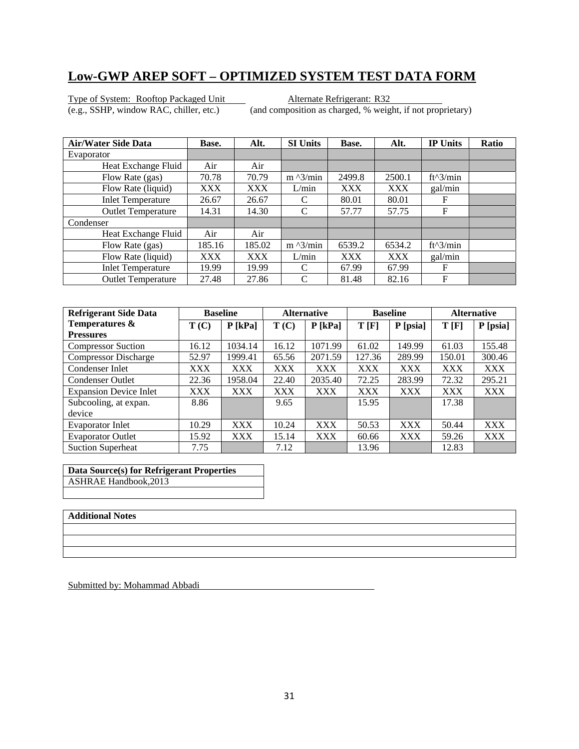Type of System: Rooftop Packaged Unit<br>
(e.g., SSHP, window RAC, chiller, etc.) (and composition as charged, % weight)

(and composition as charged, % weight, if not proprietary)

| <b>Air/Water Side Data</b> | Base.      | Alt.   | <b>SI Units</b>   | Base.      | Alt.       | <b>IP Units</b> | <b>Ratio</b> |
|----------------------------|------------|--------|-------------------|------------|------------|-----------------|--------------|
| Evaporator                 |            |        |                   |            |            |                 |              |
| Heat Exchange Fluid        | Air        | Air    |                   |            |            |                 |              |
| Flow Rate (gas)            | 70.78      | 70.79  | $m \frac{3}{min}$ | 2499.8     | 2500.1     | $ft^3/min$      |              |
| Flow Rate (liquid)         | <b>XXX</b> | XXX    | L/min             | <b>XXX</b> | <b>XXX</b> | gal/min         |              |
| <b>Inlet Temperature</b>   | 26.67      | 26.67  | C                 | 80.01      | 80.01      | F               |              |
| <b>Outlet Temperature</b>  | 14.31      | 14.30  | C                 | 57.77      | 57.75      | F               |              |
| Condenser                  |            |        |                   |            |            |                 |              |
| Heat Exchange Fluid        | Air        | Air    |                   |            |            |                 |              |
| Flow Rate (gas)            | 185.16     | 185.02 | $m \lambda$ 3/min | 6539.2     | 6534.2     | $ft^3/min$      |              |
| Flow Rate (liquid)         | <b>XXX</b> | XXX    | L/min             | <b>XXX</b> | <b>XXX</b> | gal/min         |              |
| <b>Inlet Temperature</b>   | 19.99      | 19.99  | C                 | 67.99      | 67.99      | F               |              |
| <b>Outlet Temperature</b>  | 27.48      | 27.86  | C                 | 81.48      | 82.16      | F               |              |

| <b>Refrigerant Side Data</b>  |            | <b>Baseline</b> | <b>Alternative</b> |            | <b>Baseline</b> |            | <b>Alternative</b> |            |
|-------------------------------|------------|-----------------|--------------------|------------|-----------------|------------|--------------------|------------|
| Temperatures &                | T(C)       | $P$ [kPa]       | T(C)               | $P$ [kPa]  | T[F]            | P [psia]   | T[F]               | P [psia]   |
| <b>Pressures</b>              |            |                 |                    |            |                 |            |                    |            |
| <b>Compressor Suction</b>     | 16.12      | 1034.14         | 16.12              | 1071.99    | 61.02           | 149.99     | 61.03              | 155.48     |
| <b>Compressor Discharge</b>   | 52.97      | 1999.41         | 65.56              | 2071.59    | 127.36          | 289.99     | 150.01             | 300.46     |
| Condenser Inlet               | XXX        | <b>XXX</b>      | XXX                | <b>XXX</b> | <b>XXX</b>      | <b>XXX</b> | <b>XXX</b>         | <b>XXX</b> |
| <b>Condenser Outlet</b>       | 22.36      | 1958.04         | 22.40              | 2035.40    | 72.25           | 283.99     | 72.32              | 295.21     |
| <b>Expansion Device Inlet</b> | <b>XXX</b> | <b>XXX</b>      | <b>XXX</b>         | <b>XXX</b> | <b>XXX</b>      | <b>XXX</b> | <b>XXX</b>         | <b>XXX</b> |
| Subcooling, at expan.         | 8.86       |                 | 9.65               |            | 15.95           |            | 17.38              |            |
| device                        |            |                 |                    |            |                 |            |                    |            |
| Evaporator Inlet              | 10.29      | <b>XXX</b>      | 10.24              | <b>XXX</b> | 50.53           | <b>XXX</b> | 50.44              | <b>XXX</b> |
| <b>Evaporator Outlet</b>      | 15.92      | <b>XXX</b>      | 15.14              | <b>XXX</b> | 60.66           | <b>XXX</b> | 59.26              | <b>XXX</b> |
| <b>Suction Superheat</b>      | 7.75       |                 | 7.12               |            | 13.96           |            | 12.83              |            |

**Data Source(s) for Refrigerant Properties**  ASHRAE Handbook,2013

#### **Additional Notes**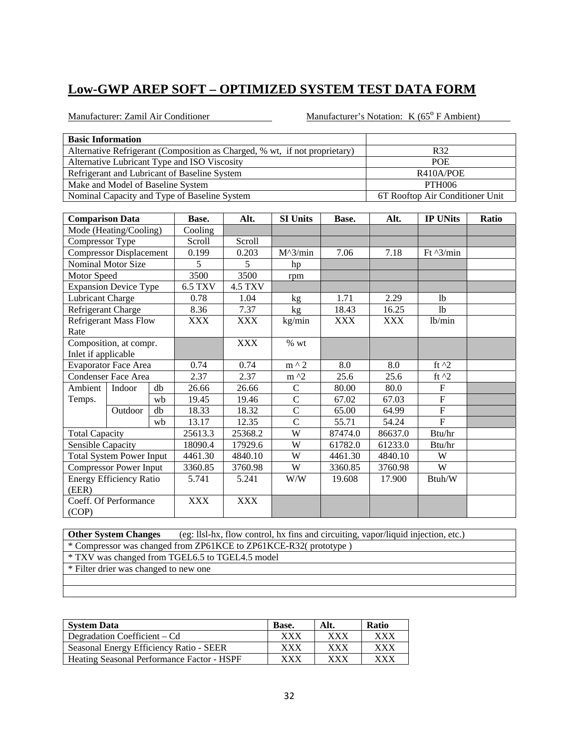Manufacturer: Zamil Air Conditioner Manufacturer's Notation: K (65<sup>°</sup> F Ambient)

| <b>Basic Information</b>                                                   |                                 |
|----------------------------------------------------------------------------|---------------------------------|
| Alternative Refrigerant (Composition as Charged, % wt, if not proprietary) | R32                             |
| Alternative Lubricant Type and ISO Viscosity                               | <b>POE</b>                      |
| Refrigerant and Lubricant of Baseline System                               | R410A/POE                       |
| Make and Model of Baseline System                                          | PTH006                          |
| Nominal Capacity and Type of Baseline System                               | 6T Rooftop Air Conditioner Unit |

| <b>Comparison Data</b> |                                 |    | Base.          | Alt.           | <b>SI Units</b>   | Base.      | Alt.       | <b>IP UNits</b>    | Ratio |
|------------------------|---------------------------------|----|----------------|----------------|-------------------|------------|------------|--------------------|-------|
|                        | Mode (Heating/Cooling)          |    | Cooling        |                |                   |            |            |                    |       |
| Compressor Type        |                                 |    | Scroll         | Scroll         |                   |            |            |                    |       |
|                        | <b>Compressor Displacement</b>  |    | 0.199          | 0.203          | $M^{\wedge}3/min$ | 7.06       | 7.18       | Ft $\frac{3}{min}$ |       |
|                        | Nominal Motor Size              |    | 5              | 5              | hp                |            |            |                    |       |
| Motor Speed            |                                 |    | 3500           | 3500           | rpm               |            |            |                    |       |
|                        | <b>Expansion Device Type</b>    |    | <b>6.5 TXV</b> | <b>4.5 TXV</b> |                   |            |            |                    |       |
| Lubricant Charge       |                                 |    | 0.78           | 1.04           | kg                | 1.71       | 2.29       | 1 <sub>b</sub>     |       |
| Refrigerant Charge     |                                 |    | 8.36           | 7.37           | kg                | 18.43      | 16.25      | <sup>1</sup> b     |       |
|                        | <b>Refrigerant Mass Flow</b>    |    | <b>XXX</b>     | <b>XXX</b>     | kg/min            | <b>XXX</b> | <b>XXX</b> | lb/min             |       |
| Rate                   |                                 |    |                |                |                   |            |            |                    |       |
|                        | Composition, at compr.          |    |                | <b>XXX</b>     | % wt              |            |            |                    |       |
| Inlet if applicable    |                                 |    |                |                |                   |            |            |                    |       |
|                        | <b>Evaporator Face Area</b>     |    | 0.74           | 0.74           | $m \wedge 2$      | 8.0        | 8.0        | ft $^2$            |       |
|                        | <b>Condenser Face Area</b>      |    | 2.37           | 2.37           | $m \lambda$       | 25.6       | 25.6       | ft $^2$            |       |
| Ambient                | Indoor                          | db | 26.66          | 26.66          | $\mathsf{C}$      | 80.00      | 80.0       | ${\bf F}$          |       |
| Temps.                 |                                 | wb | 19.45          | 19.46          | $\mathcal{C}$     | 67.02      | 67.03      | ${\bf F}$          |       |
|                        | Outdoor                         | db | 18.33          | 18.32          | $\mathcal{C}$     | 65.00      | 64.99      | ${\bf F}$          |       |
|                        |                                 | wh | 13.17          | 12.35          | $\overline{C}$    | 55.71      | 54.24      | $\mathbf F$        |       |
| <b>Total Capacity</b>  |                                 |    | 25613.3        | 25368.2        | W                 | 87474.0    | 86637.0    | Btu/hr             |       |
| Sensible Capacity      |                                 |    | 18090.4        | 17929.6        | W                 | 61782.0    | 61233.0    | Btu/hr             |       |
|                        | <b>Total System Power Input</b> |    | 4461.30        | 4840.10        | W                 | 4461.30    | 4840.10    | W                  |       |
|                        | <b>Compressor Power Input</b>   |    | 3360.85        | 3760.98        | W                 | 3360.85    | 3760.98    | W                  |       |
|                        | <b>Energy Efficiency Ratio</b>  |    | 5.741          | 5.241          | W/W               | 19.608     | 17.900     | Btuh/W             |       |
| (EER)                  |                                 |    |                |                |                   |            |            |                    |       |
|                        | Coeff. Of Performance           |    | <b>XXX</b>     | <b>XXX</b>     |                   |            |            |                    |       |
| (COP)                  |                                 |    |                |                |                   |            |            |                    |       |

**Other System Changes** (eg: llsl-hx, flow control, hx fins and circuiting, vapor/liquid injection, etc.) \* Compressor was changed from ZP61KCE to ZP61KCE-R32( prototype ) \* TXV was changed from TGEL6.5 to TGEL4.5 model \* Filter drier was changed to new one

| <b>System Data</b>                         | Base.       | Alt. | <b>Ratio</b> |
|--------------------------------------------|-------------|------|--------------|
| Degradation Coefficient – Cd               | xxx         | XXX  | xxx          |
| Seasonal Energy Efficiency Ratio - SEER    | XXX         | xxx  | xxx          |
| Heating Seasonal Performance Factor - HSPF | ${\rm XXX}$ | xxx  | ${\bf XXX}$  |